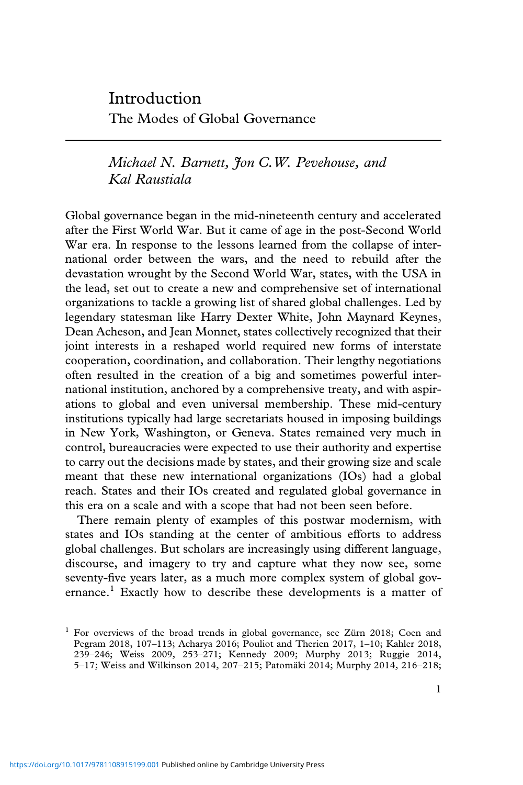Introduction The Modes of Global Governance

*Michael N. Barnett, Jon C.W. Pevehouse, and Kal Raustiala*

Global governance began in the mid-nineteenth century and accelerated after the First World War. But it came of age in the post-Second World War era. In response to the lessons learned from the collapse of international order between the wars, and the need to rebuild after the devastation wrought by the Second World War, states, with the USA in the lead, set out to create a new and comprehensive set of international organizations to tackle a growing list of shared global challenges. Led by legendary statesman like Harry Dexter White, John Maynard Keynes, Dean Acheson, and Jean Monnet, states collectively recognized that their joint interests in a reshaped world required new forms of interstate cooperation, coordination, and collaboration. Their lengthy negotiations often resulted in the creation of a big and sometimes powerful international institution, anchored by a comprehensive treaty, and with aspirations to global and even universal membership. These mid-century institutions typically had large secretariats housed in imposing buildings in New York, Washington, or Geneva. States remained very much in control, bureaucracies were expected to use their authority and expertise to carry out the decisions made by states, and their growing size and scale meant that these new international organizations (IOs) had a global reach. States and their IOs created and regulated global governance in this era on a scale and with a scope that had not been seen before.

There remain plenty of examples of this postwar modernism, with states and IOs standing at the center of ambitious efforts to address global challenges. But scholars are increasingly using different language, discourse, and imagery to try and capture what they now see, some seventy-five years later, as a much more complex system of global governance.<sup>1</sup> Exactly how to describe these developments is a matter of

<sup>&</sup>lt;sup>1</sup> For overviews of the broad trends in global governance, see Zürn 2018; Coen and Pegram 2018, 107–113; Acharya 2016; Pouliot and Therien 2017, 1–10; Kahler 2018, 239–246; Weiss 2009, 253–271; Kennedy 2009; Murphy 2013; Ruggie 2014, 5–17; Weiss and Wilkinson 2014, 207–215; Patomäki 2014; Murphy 2014, 216–218;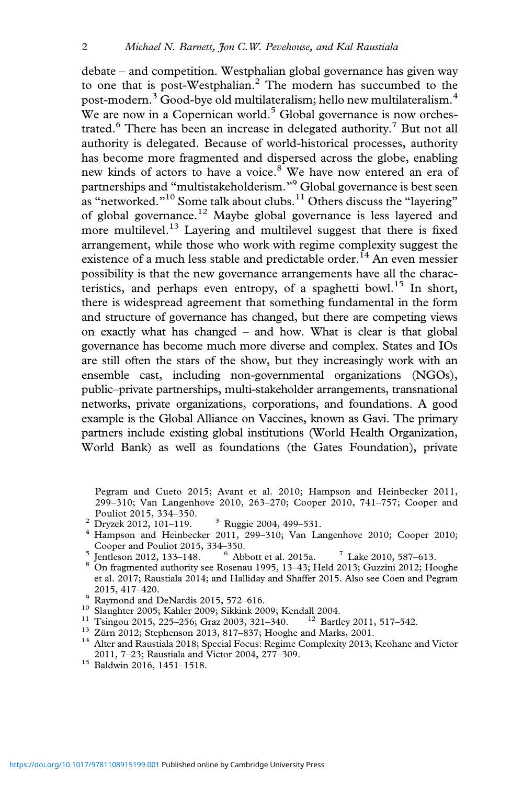debate – and competition. Westphalian global governance has given way to one that is post-Westphalian.2 The modern has succumbed to the post-modern.<sup>3</sup> Good-bye old multilateralism; hello new multilateralism.<sup>4</sup> We are now in a Copernican world.<sup>5</sup> Global governance is now orchestrated.<sup>6</sup> There has been an increase in delegated authority.<sup>7</sup> But not all authority is delegated. Because of world-historical processes, authority has become more fragmented and dispersed across the globe, enabling new kinds of actors to have a voice.<sup>8</sup> We have now entered an era of partnerships and "multistakeholderism."<sup>9</sup> Global governance is best seen as "networked."<sup>10</sup> Some talk about clubs.<sup>11</sup> Others discuss the "layering" of global governance.<sup>12</sup> Maybe global governance is less layered and more multilevel.<sup>13</sup> Layering and multilevel suggest that there is fixed arrangement, while those who work with regime complexity suggest the existence of a much less stable and predictable order.<sup>14</sup> An even messier possibility is that the new governance arrangements have all the characteristics, and perhaps even entropy, of a spaghetti bowl.<sup>15</sup> In short, there is widespread agreement that something fundamental in the form and structure of governance has changed, but there are competing views on exactly what has changed – and how. What is clear is that global governance has become much more diverse and complex. States and IOs are still often the stars of the show, but they increasingly work with an ensemble cast, including non-governmental organizations (NGOs), public–private partnerships, multi-stakeholder arrangements, transnational networks, private organizations, corporations, and foundations. A good example is the Global Alliance on Vaccines, known as Gavi. The primary partners include existing global institutions (World Health Organization, World Bank) as well as foundations (the Gates Foundation), private

- 
- Pouliot 2015, 334–350.<br>
<sup>2</sup> Dryzek 2012, 101–119. <sup>3</sup> Ruggie 2004, 499–531.<br>
<sup>4</sup> Hampson and Heinbecker 2011, 299–310; Van Langenhove 2010; Cooper 2010; Cooper and Pouliot 2015, 334–350.
- <sup>5</sup> Jentleson 2012, 133–148. <sup>6</sup> Abbott et al. 2015a. <sup>7</sup> Lake 2010, 587–613. <sup>8</sup> On fragmented authority see Rosenau 1995, 13–43; Held 2013; Guzzini 2012; Hooghe
- et al. 2017; Raustiala 2014; and Halliday and Shaffer 2015. Also see Coen and Pegram 2015, 417–420.<br>
9 Raymond and DeNardis 2015, 572–616.<br>
<sup>10</sup> Slaughter 2005; Kahler 2009; Sikkink 2009; Kendall 2004.<br>
<sup>11</sup> Tsingou 2015, 225–256; Graz 2003, 321–340.<br>
<sup>12</sup> Bartley 2011, 517–542.<br>
<sup>13</sup> Zürn 2012; Stephenso
- 
- 
- 
- 
- 2011, 7–23; Raustiala and Victor 2004, 277–309. <sup>15</sup> Baldwin 2016, 1451–1518.
- 

Pegram and Cueto 2015; Avant et al. 2010; Hampson and Heinbecker 2011, 299–310; Van Langenhove 2010, 263–270; Cooper 2010, 741–757; Cooper and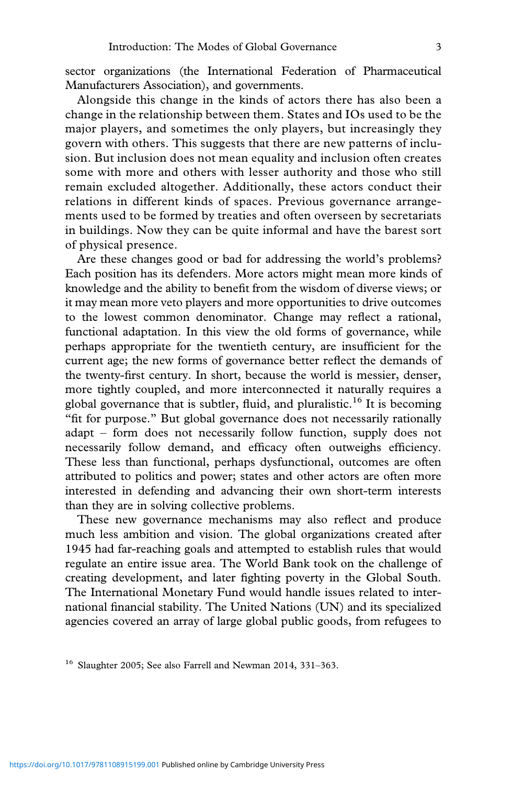sector organizations (the International Federation of Pharmaceutical Manufacturers Association), and governments.

Alongside this change in the kinds of actors there has also been a change in the relationship between them. States and IOs used to be the major players, and sometimes the only players, but increasingly they govern with others. This suggests that there are new patterns of inclusion. But inclusion does not mean equality and inclusion often creates some with more and others with lesser authority and those who still remain excluded altogether. Additionally, these actors conduct their relations in different kinds of spaces. Previous governance arrangements used to be formed by treaties and often overseen by secretariats in buildings. Now they can be quite informal and have the barest sort of physical presence.

Are these changes good or bad for addressing the world's problems? Each position has its defenders. More actors might mean more kinds of knowledge and the ability to benefit from the wisdom of diverse views; or it may mean more veto players and more opportunities to drive outcomes to the lowest common denominator. Change may reflect a rational, functional adaptation. In this view the old forms of governance, while perhaps appropriate for the twentieth century, are insufficient for the current age; the new forms of governance better reflect the demands of the twenty-first century. In short, because the world is messier, denser, more tightly coupled, and more interconnected it naturally requires a global governance that is subtler, fluid, and pluralistic.<sup>16</sup> It is becoming "fit for purpose." But global governance does not necessarily rationally adapt – form does not necessarily follow function, supply does not necessarily follow demand, and efficacy often outweighs efficiency. These less than functional, perhaps dysfunctional, outcomes are often attributed to politics and power; states and other actors are often more interested in defending and advancing their own short-term interests than they are in solving collective problems.

These new governance mechanisms may also reflect and produce much less ambition and vision. The global organizations created after 1945 had far-reaching goals and attempted to establish rules that would regulate an entire issue area. The World Bank took on the challenge of creating development, and later fighting poverty in the Global South. The International Monetary Fund would handle issues related to international financial stability. The United Nations (UN) and its specialized agencies covered an array of large global public goods, from refugees to

<sup>&</sup>lt;sup>16</sup> Slaughter 2005; See also Farrell and Newman 2014, 331-363.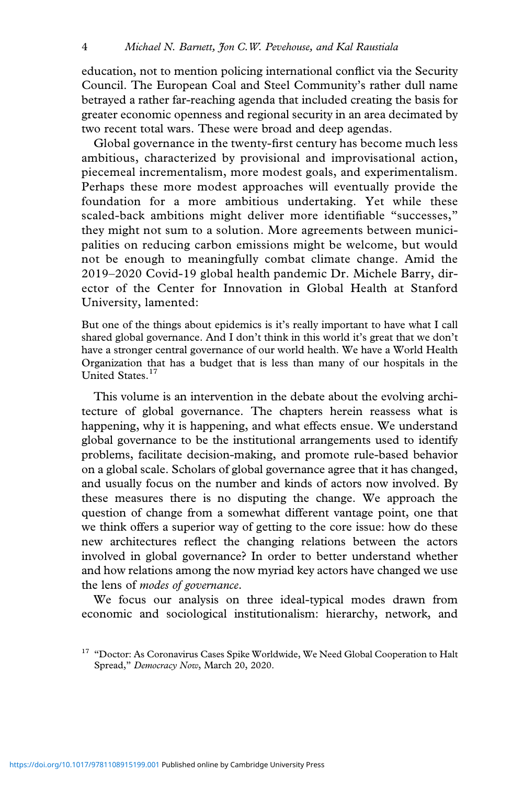education, not to mention policing international conflict via the Security Council. The European Coal and Steel Community's rather dull name betrayed a rather far-reaching agenda that included creating the basis for greater economic openness and regional security in an area decimated by two recent total wars. These were broad and deep agendas.

Global governance in the twenty-first century has become much less ambitious, characterized by provisional and improvisational action, piecemeal incrementalism, more modest goals, and experimentalism. Perhaps these more modest approaches will eventually provide the foundation for a more ambitious undertaking. Yet while these scaled-back ambitions might deliver more identifiable "successes," they might not sum to a solution. More agreements between municipalities on reducing carbon emissions might be welcome, but would not be enough to meaningfully combat climate change. Amid the 2019–2020 Covid-19 global health pandemic Dr. Michele Barry, director of the Center for Innovation in Global Health at Stanford University, lamented:

But one of the things about epidemics is it's really important to have what I call shared global governance. And I don't think in this world it's great that we don't have a stronger central governance of our world health. We have a World Health Organization that has a budget that is less than many of our hospitals in the United States.<sup>17</sup>

This volume is an intervention in the debate about the evolving architecture of global governance. The chapters herein reassess what is happening, why it is happening, and what effects ensue. We understand global governance to be the institutional arrangements used to identify problems, facilitate decision-making, and promote rule-based behavior on a global scale. Scholars of global governance agree that it has changed, and usually focus on the number and kinds of actors now involved. By these measures there is no disputing the change. We approach the question of change from a somewhat different vantage point, one that we think offers a superior way of getting to the core issue: how do these new architectures reflect the changing relations between the actors involved in global governance? In order to better understand whether and how relations among the now myriad key actors have changed we use the lens of *modes of governance*.

We focus our analysis on three ideal-typical modes drawn from economic and sociological institutionalism: hierarchy, network, and

<sup>&</sup>lt;sup>17</sup> "Doctor: As Coronavirus Cases Spike Worldwide, We Need Global Cooperation to Halt Spread," *Democracy Now*, March 20, 2020.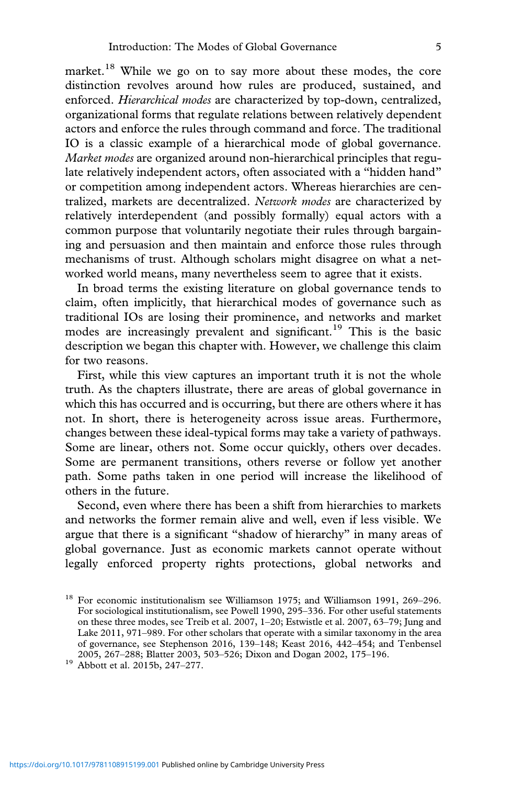market.<sup>18</sup> While we go on to say more about these modes, the core distinction revolves around how rules are produced, sustained, and enforced. *Hierarchical modes* are characterized by top-down, centralized, organizational forms that regulate relations between relatively dependent actors and enforce the rules through command and force. The traditional IO is a classic example of a hierarchical mode of global governance. *Market modes* are organized around non-hierarchical principles that regulate relatively independent actors, often associated with a "hidden hand" or competition among independent actors. Whereas hierarchies are centralized, markets are decentralized. *Network modes* are characterized by relatively interdependent (and possibly formally) equal actors with a common purpose that voluntarily negotiate their rules through bargaining and persuasion and then maintain and enforce those rules through mechanisms of trust. Although scholars might disagree on what a networked world means, many nevertheless seem to agree that it exists.

In broad terms the existing literature on global governance tends to claim, often implicitly, that hierarchical modes of governance such as traditional IOs are losing their prominence, and networks and market modes are increasingly prevalent and significant.<sup>19</sup> This is the basic description we began this chapter with. However, we challenge this claim for two reasons.

First, while this view captures an important truth it is not the whole truth. As the chapters illustrate, there are areas of global governance in which this has occurred and is occurring, but there are others where it has not. In short, there is heterogeneity across issue areas. Furthermore, changes between these ideal-typical forms may take a variety of pathways. Some are linear, others not. Some occur quickly, others over decades. Some are permanent transitions, others reverse or follow yet another path. Some paths taken in one period will increase the likelihood of others in the future.

Second, even where there has been a shift from hierarchies to markets and networks the former remain alive and well, even if less visible. We argue that there is a significant "shadow of hierarchy" in many areas of global governance. Just as economic markets cannot operate without legally enforced property rights protections, global networks and

<sup>&</sup>lt;sup>18</sup> For economic institutionalism see Williamson 1975; and Williamson 1991, 269-296. For sociological institutionalism, see Powell 1990, 295–336. For other useful statements on these three modes, see Treib et al. 2007, 1–20; Estwistle et al. 2007, 63–79; Jung and Lake 2011, 971–989. For other scholars that operate with a similar taxonomy in the area of governance, see Stephenson 2016, 139–148; Keast 2016, 442–454; and Tenbensel 2005, 267–288; Blatter 2003, 503–526; Dixon and Dogan 2002, 175–196.<br> $^{19}$  Abbott et al. 2015b, 247–277.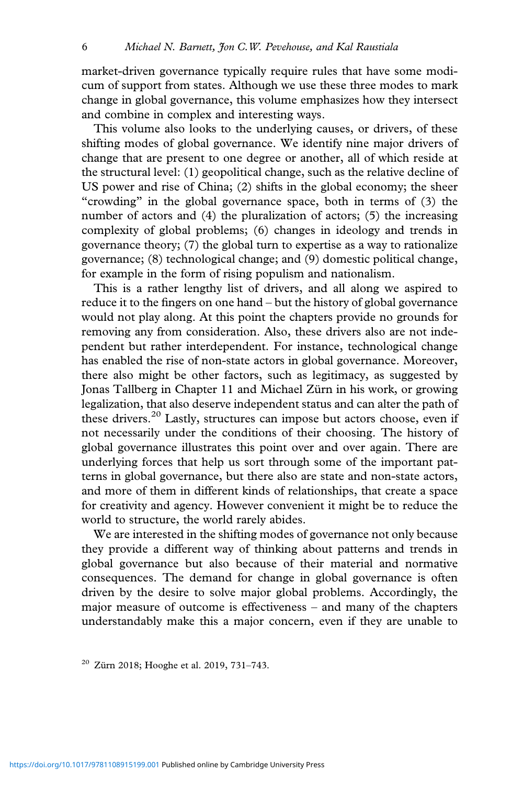market-driven governance typically require rules that have some modicum of support from states. Although we use these three modes to mark change in global governance, this volume emphasizes how they intersect and combine in complex and interesting ways.

This volume also looks to the underlying causes, or drivers, of these shifting modes of global governance. We identify nine major drivers of change that are present to one degree or another, all of which reside at the structural level: (1) geopolitical change, such as the relative decline of US power and rise of China; (2) shifts in the global economy; the sheer "crowding" in the global governance space, both in terms of (3) the number of actors and (4) the pluralization of actors; (5) the increasing complexity of global problems; (6) changes in ideology and trends in governance theory; (7) the global turn to expertise as a way to rationalize governance; (8) technological change; and (9) domestic political change, for example in the form of rising populism and nationalism.

This is a rather lengthy list of drivers, and all along we aspired to reduce it to the fingers on one hand – but the history of global governance would not play along. At this point the chapters provide no grounds for removing any from consideration. Also, these drivers also are not independent but rather interdependent. For instance, technological change has enabled the rise of non-state actors in global governance. Moreover, there also might be other factors, such as legitimacy, as suggested by Jonas Tallberg in Chapter 11 and Michael Zürn in his work, or growing legalization, that also deserve independent status and can alter the path of these drivers.<sup>20</sup> Lastly, structures can impose but actors choose, even if not necessarily under the conditions of their choosing. The history of global governance illustrates this point over and over again. There are underlying forces that help us sort through some of the important patterns in global governance, but there also are state and non-state actors, and more of them in different kinds of relationships, that create a space for creativity and agency. However convenient it might be to reduce the world to structure, the world rarely abides.

We are interested in the shifting modes of governance not only because they provide a different way of thinking about patterns and trends in global governance but also because of their material and normative consequences. The demand for change in global governance is often driven by the desire to solve major global problems. Accordingly, the major measure of outcome is effectiveness – and many of the chapters understandably make this a major concern, even if they are unable to

<sup>20</sup> Zürn 2018; Hooghe et al. 2019, 731–743.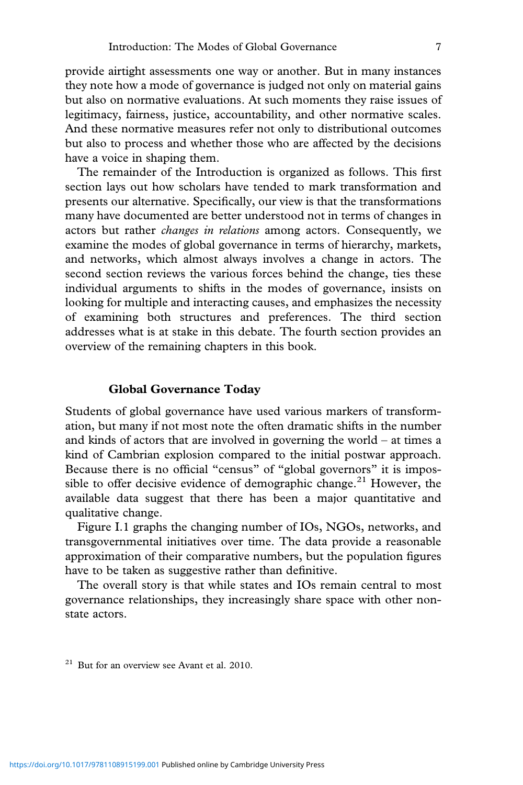provide airtight assessments one way or another. But in many instances they note how a mode of governance is judged not only on material gains but also on normative evaluations. At such moments they raise issues of legitimacy, fairness, justice, accountability, and other normative scales. And these normative measures refer not only to distributional outcomes but also to process and whether those who are affected by the decisions have a voice in shaping them.

The remainder of the Introduction is organized as follows. This first section lays out how scholars have tended to mark transformation and presents our alternative. Specifically, our view is that the transformations many have documented are better understood not in terms of changes in actors but rather *changes in relations* among actors. Consequently, we examine the modes of global governance in terms of hierarchy, markets, and networks, which almost always involves a change in actors. The second section reviews the various forces behind the change, ties these individual arguments to shifts in the modes of governance, insists on looking for multiple and interacting causes, and emphasizes the necessity of examining both structures and preferences. The third section addresses what is at stake in this debate. The fourth section provides an overview of the remaining chapters in this book.

# **Global Governance Today**

Students of global governance have used various markers of transformation, but many if not most note the often dramatic shifts in the number and kinds of actors that are involved in governing the world – at times a kind of Cambrian explosion compared to the initial postwar approach. Because there is no official "census" of "global governors" it is impossible to offer decisive evidence of demographic change.<sup>21</sup> However, the available data suggest that there has been a major quantitative and qualitative change.

Figure I.1 graphs the changing number of IOs, NGOs, networks, and transgovernmental initiatives over time. The data provide a reasonable approximation of their comparative numbers, but the population figures have to be taken as suggestive rather than definitive.

The overall story is that while states and IOs remain central to most governance relationships, they increasingly share space with other nonstate actors.

 $21$  But for an overview see Avant et al. 2010.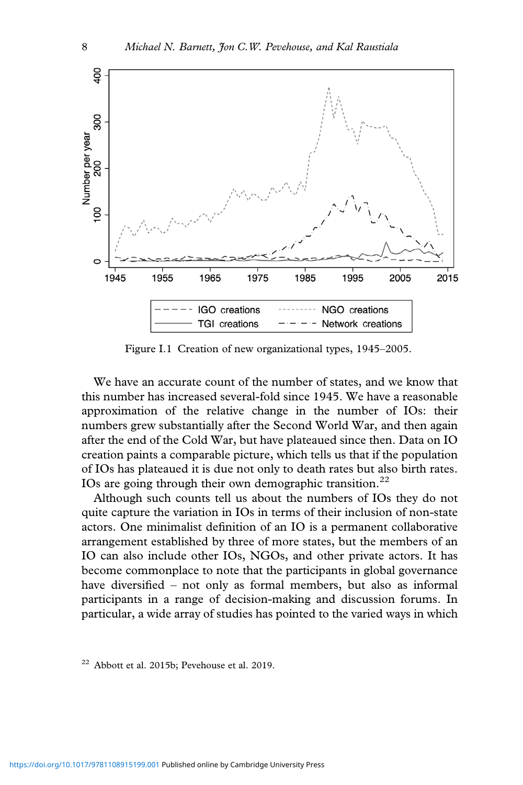

Figure I.1 Creation of new organizational types, 1945–2005.

We have an accurate count of the number of states, and we know that this number has increased several-fold since 1945. We have a reasonable approximation of the relative change in the number of IOs: their numbers grew substantially after the Second World War, and then again after the end of the Cold War, but have plateaued since then. Data on IO creation paints a comparable picture, which tells us that if the population of IOs has plateaued it is due not only to death rates but also birth rates. IOs are going through their own demographic transition.<sup>22</sup>

Although such counts tell us about the numbers of IOs they do not quite capture the variation in IOs in terms of their inclusion of non-state actors. One minimalist definition of an IO is a permanent collaborative arrangement established by three of more states, but the members of an IO can also include other IOs, NGOs, and other private actors. It has become commonplace to note that the participants in global governance have diversified – not only as formal members, but also as informal participants in a range of decision-making and discussion forums. In particular, a wide array of studies has pointed to the varied ways in which

<sup>22</sup> Abbott et al. 2015b; Pevehouse et al. 2019.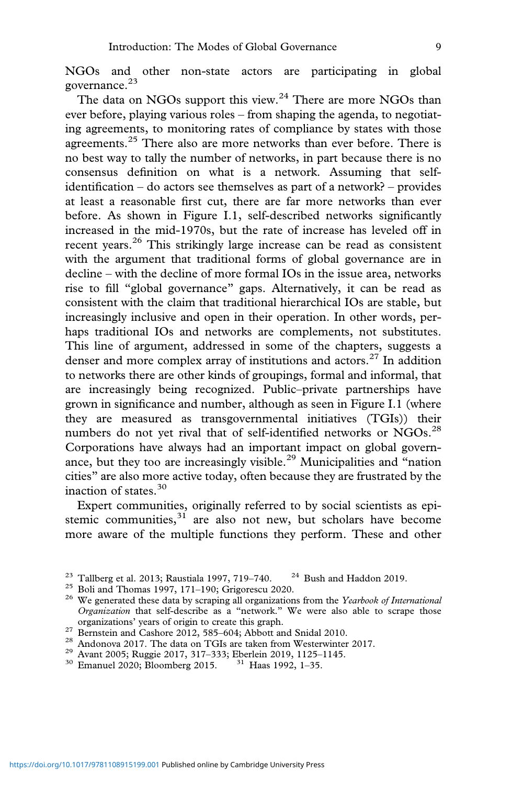NGOs and other non-state actors are participating in global governance.<sup>23</sup>

The data on NGOs support this view.<sup>24</sup> There are more NGOs than ever before, playing various roles – from shaping the agenda, to negotiating agreements, to monitoring rates of compliance by states with those agreements.<sup>25</sup> There also are more networks than ever before. There is no best way to tally the number of networks, in part because there is no consensus definition on what is a network. Assuming that selfidentification – do actors see themselves as part of a network? – provides at least a reasonable first cut, there are far more networks than ever before. As shown in Figure I.1, self-described networks significantly increased in the mid-1970s, but the rate of increase has leveled off in recent years. $26$  This strikingly large increase can be read as consistent with the argument that traditional forms of global governance are in decline – with the decline of more formal IOs in the issue area, networks rise to fill "global governance" gaps. Alternatively, it can be read as consistent with the claim that traditional hierarchical IOs are stable, but increasingly inclusive and open in their operation. In other words, perhaps traditional IOs and networks are complements, not substitutes. This line of argument, addressed in some of the chapters, suggests a denser and more complex array of institutions and actors.<sup>27</sup> In addition to networks there are other kinds of groupings, formal and informal, that are increasingly being recognized. Public–private partnerships have grown in significance and number, although as seen in Figure I.1 (where they are measured as transgovernmental initiatives (TGIs)) their numbers do not yet rival that of self-identified networks or NGOs.<sup>28</sup> Corporations have always had an important impact on global governance, but they too are increasingly visible.<sup>29</sup> Municipalities and "nation" cities" are also more active today, often because they are frustrated by the inaction of states.<sup>30</sup>

Expert communities, originally referred to by social scientists as epistemic communities, $31$  are also not new, but scholars have become more aware of the multiple functions they perform. These and other

- 
- <sup>27</sup> Bernstein and Cashore 2012, 585–604; Abbott and Snidal 2010.<br><sup>28</sup> Andonova 2017. The data on TGIs are taken from Westerwinter 2017.<br><sup>29</sup> Avant 2005; Ruggie 2017, 317–333; Eberlein 2019, 1125–1145.<br><sup>30</sup> Emanuel 2020;
- 
- 

<sup>&</sup>lt;sup>23</sup> Tallberg et al. 2013; Raustiala 1997, 719–740. <sup>24</sup> Bush and Haddon 2019.<br><sup>25</sup> Boli and Thomas 1997, 171–190; Grigorescu 2020.<br><sup>26</sup> We generated these data by scraping all organizations from the *Yearbook of Internati Organization* that self-describe as a "network." We were also able to scrape those organizations' years of origin to create this graph.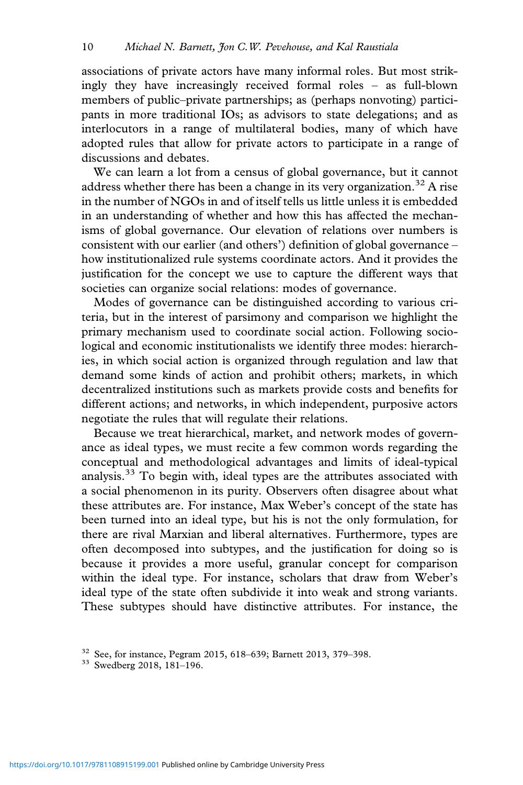associations of private actors have many informal roles. But most strikingly they have increasingly received formal roles – as full-blown members of public–private partnerships; as (perhaps nonvoting) participants in more traditional IOs; as advisors to state delegations; and as interlocutors in a range of multilateral bodies, many of which have adopted rules that allow for private actors to participate in a range of discussions and debates.

We can learn a lot from a census of global governance, but it cannot address whether there has been a change in its very organization.<sup>32</sup> A rise in the number of NGOs in and of itself tells us little unless it is embedded in an understanding of whether and how this has affected the mechanisms of global governance. Our elevation of relations over numbers is consistent with our earlier (and others') definition of global governance – how institutionalized rule systems coordinate actors. And it provides the justification for the concept we use to capture the different ways that societies can organize social relations: modes of governance.

Modes of governance can be distinguished according to various criteria, but in the interest of parsimony and comparison we highlight the primary mechanism used to coordinate social action. Following sociological and economic institutionalists we identify three modes: hierarchies, in which social action is organized through regulation and law that demand some kinds of action and prohibit others; markets, in which decentralized institutions such as markets provide costs and benefits for different actions; and networks, in which independent, purposive actors negotiate the rules that will regulate their relations.

Because we treat hierarchical, market, and network modes of governance as ideal types, we must recite a few common words regarding the conceptual and methodological advantages and limits of ideal-typical analysis.<sup>33</sup> To begin with, ideal types are the attributes associated with a social phenomenon in its purity. Observers often disagree about what these attributes are. For instance, Max Weber's concept of the state has been turned into an ideal type, but his is not the only formulation, for there are rival Marxian and liberal alternatives. Furthermore, types are often decomposed into subtypes, and the justification for doing so is because it provides a more useful, granular concept for comparison within the ideal type. For instance, scholars that draw from Weber's ideal type of the state often subdivide it into weak and strong variants. These subtypes should have distinctive attributes. For instance, the

<sup>&</sup>lt;sup>32</sup> See, for instance, Pegram 2015, 618–639; Barnett 2013, 379–398.<br><sup>33</sup> Swedberg 2018, 181–196.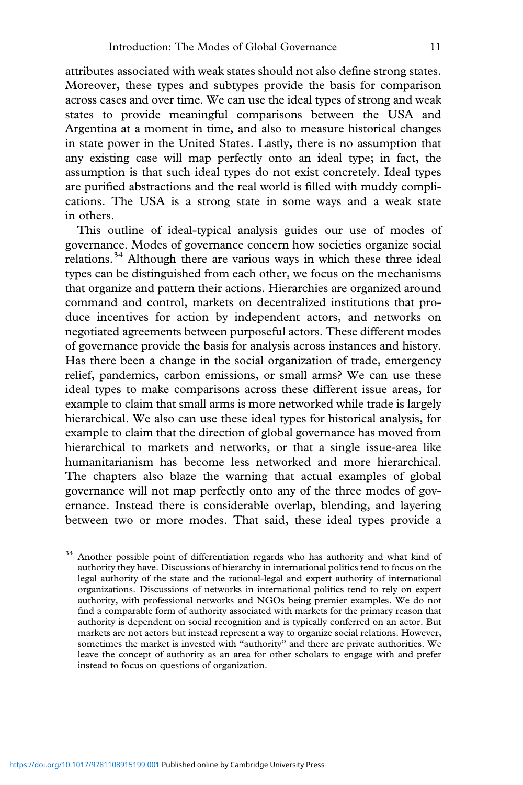attributes associated with weak states should not also define strong states. Moreover, these types and subtypes provide the basis for comparison across cases and over time. We can use the ideal types of strong and weak states to provide meaningful comparisons between the USA and Argentina at a moment in time, and also to measure historical changes in state power in the United States. Lastly, there is no assumption that any existing case will map perfectly onto an ideal type; in fact, the assumption is that such ideal types do not exist concretely. Ideal types are purified abstractions and the real world is filled with muddy complications. The USA is a strong state in some ways and a weak state in others.

This outline of ideal-typical analysis guides our use of modes of governance. Modes of governance concern how societies organize social relations.<sup>34</sup> Although there are various ways in which these three ideal types can be distinguished from each other, we focus on the mechanisms that organize and pattern their actions. Hierarchies are organized around command and control, markets on decentralized institutions that produce incentives for action by independent actors, and networks on negotiated agreements between purposeful actors. These different modes of governance provide the basis for analysis across instances and history. Has there been a change in the social organization of trade, emergency relief, pandemics, carbon emissions, or small arms? We can use these ideal types to make comparisons across these different issue areas, for example to claim that small arms is more networked while trade is largely hierarchical. We also can use these ideal types for historical analysis, for example to claim that the direction of global governance has moved from hierarchical to markets and networks, or that a single issue-area like humanitarianism has become less networked and more hierarchical. The chapters also blaze the warning that actual examples of global governance will not map perfectly onto any of the three modes of governance. Instead there is considerable overlap, blending, and layering between two or more modes. That said, these ideal types provide a

<sup>34</sup> Another possible point of differentiation regards who has authority and what kind of authority they have. Discussions of hierarchy in international politics tend to focus on the legal authority of the state and the rational-legal and expert authority of international organizations. Discussions of networks in international politics tend to rely on expert authority, with professional networks and NGOs being premier examples. We do not find a comparable form of authority associated with markets for the primary reason that authority is dependent on social recognition and is typically conferred on an actor. But markets are not actors but instead represent a way to organize social relations. However, sometimes the market is invested with "authority" and there are private authorities. We leave the concept of authority as an area for other scholars to engage with and prefer instead to focus on questions of organization.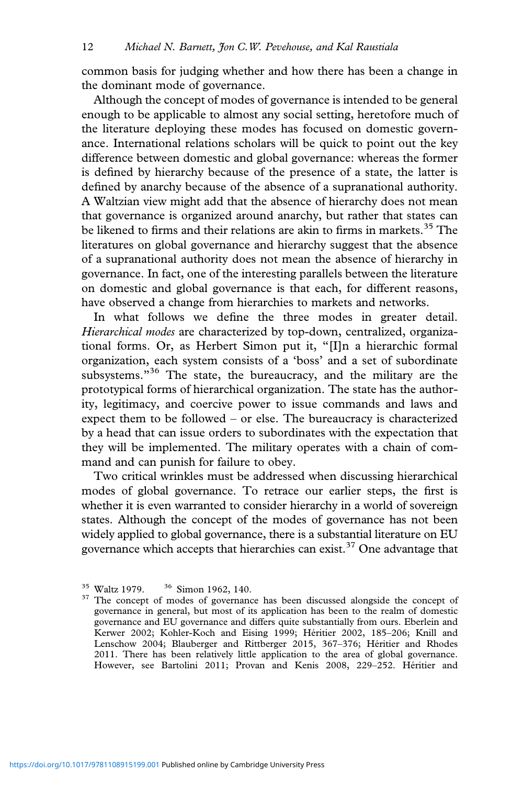common basis for judging whether and how there has been a change in the dominant mode of governance.

Although the concept of modes of governance is intended to be general enough to be applicable to almost any social setting, heretofore much of the literature deploying these modes has focused on domestic governance. International relations scholars will be quick to point out the key difference between domestic and global governance: whereas the former is defined by hierarchy because of the presence of a state, the latter is defined by anarchy because of the absence of a supranational authority. A Waltzian view might add that the absence of hierarchy does not mean that governance is organized around anarchy, but rather that states can be likened to firms and their relations are akin to firms in markets.<sup>35</sup> The literatures on global governance and hierarchy suggest that the absence of a supranational authority does not mean the absence of hierarchy in governance. In fact, one of the interesting parallels between the literature on domestic and global governance is that each, for different reasons, have observed a change from hierarchies to markets and networks.

In what follows we define the three modes in greater detail. *Hierarchical modes* are characterized by top-down, centralized, organizational forms. Or, as Herbert Simon put it, "[I]n a hierarchic formal organization, each system consists of a 'boss' and a set of subordinate subsystems."<sup>36</sup> The state, the bureaucracy, and the military are the prototypical forms of hierarchical organization. The state has the authority, legitimacy, and coercive power to issue commands and laws and expect them to be followed – or else. The bureaucracy is characterized by a head that can issue orders to subordinates with the expectation that they will be implemented. The military operates with a chain of command and can punish for failure to obey.

Two critical wrinkles must be addressed when discussing hierarchical modes of global governance. To retrace our earlier steps, the first is whether it is even warranted to consider hierarchy in a world of sovereign states. Although the concept of the modes of governance has not been widely applied to global governance, there is a substantial literature on EU governance which accepts that hierarchies can exist.<sup>37</sup> One advantage that

<sup>&</sup>lt;sup>35</sup> Waltz 1979. <sup>36</sup> Simon 1962, 140.  $37$  The concept of modes of governance has been discussed alongside the concept of governance in general, but most of its application has been to the realm of domestic governance and EU governance and differs quite substantially from ours. Eberlein and Kerwer 2002; Kohler-Koch and Eising 1999; Héritier 2002, 185–206; Knill and Lenschow 2004; Blauberger and Rittberger 2015, 367–376; Héritier and Rhodes 2011. There has been relatively little application to the area of global governance. However, see Bartolini 2011; Provan and Kenis 2008, 229–252. Héritier and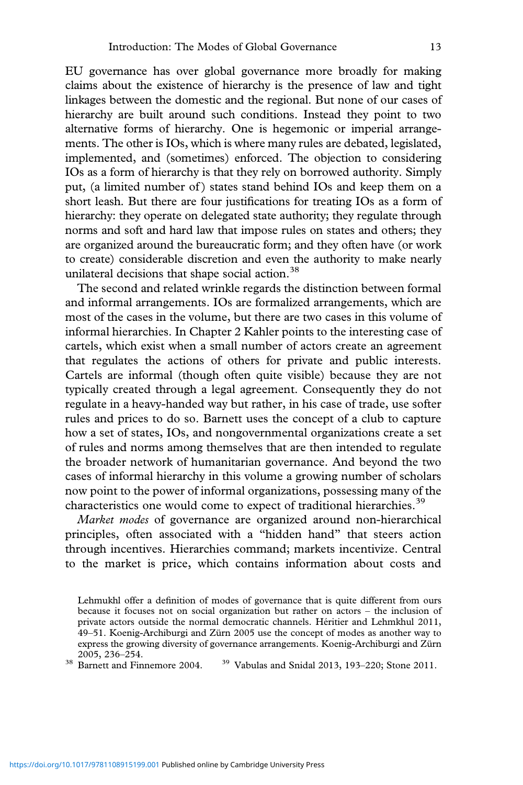EU governance has over global governance more broadly for making claims about the existence of hierarchy is the presence of law and tight linkages between the domestic and the regional. But none of our cases of hierarchy are built around such conditions. Instead they point to two alternative forms of hierarchy. One is hegemonic or imperial arrangements. The other is IOs, which is where many rules are debated, legislated, implemented, and (sometimes) enforced. The objection to considering IOs as a form of hierarchy is that they rely on borrowed authority. Simply put, (a limited number of ) states stand behind IOs and keep them on a short leash. But there are four justifications for treating IOs as a form of hierarchy: they operate on delegated state authority; they regulate through norms and soft and hard law that impose rules on states and others; they are organized around the bureaucratic form; and they often have (or work to create) considerable discretion and even the authority to make nearly unilateral decisions that shape social action.<sup>38</sup>

The second and related wrinkle regards the distinction between formal and informal arrangements. IOs are formalized arrangements, which are most of the cases in the volume, but there are two cases in this volume of informal hierarchies. In Chapter 2 Kahler points to the interesting case of cartels, which exist when a small number of actors create an agreement that regulates the actions of others for private and public interests. Cartels are informal (though often quite visible) because they are not typically created through a legal agreement. Consequently they do not regulate in a heavy-handed way but rather, in his case of trade, use softer rules and prices to do so. Barnett uses the concept of a club to capture how a set of states, IOs, and nongovernmental organizations create a set of rules and norms among themselves that are then intended to regulate the broader network of humanitarian governance. And beyond the two cases of informal hierarchy in this volume a growing number of scholars now point to the power of informal organizations, possessing many of the characteristics one would come to expect of traditional hierarchies.<sup>39</sup>

*Market modes* of governance are organized around non-hierarchical principles, often associated with a "hidden hand" that steers action through incentives. Hierarchies command; markets incentivize. Central to the market is price, which contains information about costs and

Lehmukhl offer a definition of modes of governance that is quite different from ours because it focuses not on social organization but rather on actors – the inclusion of private actors outside the normal democratic channels. Héritier and Lehmkhul 2011, 49–51. Koenig-Archiburgi and Zürn 2005 use the concept of modes as another way to express the growing diversity of governance arrangements. Koenig-Archiburgi and Zürn

<sup>&</sup>lt;sup>38</sup> Barnett and Finnemore 2004. <sup>39</sup> Vabulas and Snidal 2013, 193–220; Stone 2011.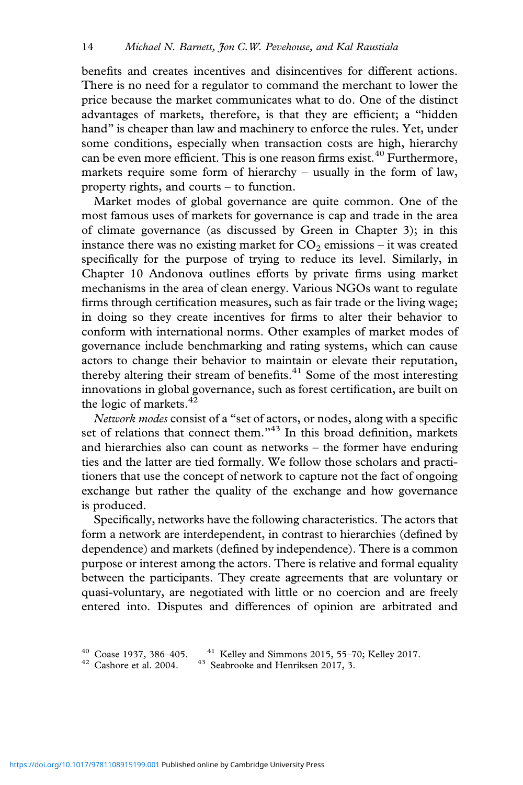benefits and creates incentives and disincentives for different actions. There is no need for a regulator to command the merchant to lower the price because the market communicates what to do. One of the distinct advantages of markets, therefore, is that they are efficient; a "hidden hand" is cheaper than law and machinery to enforce the rules. Yet, under some conditions, especially when transaction costs are high, hierarchy can be even more efficient. This is one reason firms exist.<sup>40</sup> Furthermore, markets require some form of hierarchy – usually in the form of law, property rights, and courts – to function.

Market modes of global governance are quite common. One of the most famous uses of markets for governance is cap and trade in the area of climate governance (as discussed by Green in Chapter 3); in this instance there was no existing market for  $CO<sub>2</sub>$  emissions – it was created specifically for the purpose of trying to reduce its level. Similarly, in Chapter 10 Andonova outlines efforts by private firms using market mechanisms in the area of clean energy. Various NGOs want to regulate firms through certification measures, such as fair trade or the living wage; in doing so they create incentives for firms to alter their behavior to conform with international norms. Other examples of market modes of governance include benchmarking and rating systems, which can cause actors to change their behavior to maintain or elevate their reputation, thereby altering their stream of benefits.<sup>41</sup> Some of the most interesting innovations in global governance, such as forest certification, are built on the logic of markets. $42$ 

*Network modes* consist of a "set of actors, or nodes, along with a specific set of relations that connect them. $143$  In this broad definition, markets and hierarchies also can count as networks – the former have enduring ties and the latter are tied formally. We follow those scholars and practitioners that use the concept of network to capture not the fact of ongoing exchange but rather the quality of the exchange and how governance is produced.

Specifically, networks have the following characteristics. The actors that form a network are interdependent, in contrast to hierarchies (defined by dependence) and markets (defined by independence). There is a common purpose or interest among the actors. There is relative and formal equality between the participants. They create agreements that are voluntary or quasi-voluntary, are negotiated with little or no coercion and are freely entered into. Disputes and differences of opinion are arbitrated and

<sup>&</sup>lt;sup>40</sup> Coase 1937, 386–405. <sup>41</sup> Kelley and Simmons 2015, 55–70; Kelley 2017. <sup>42</sup> Cashore et al. 2004. <sup>43</sup> Seabrooke and Henriksen 2017, 3.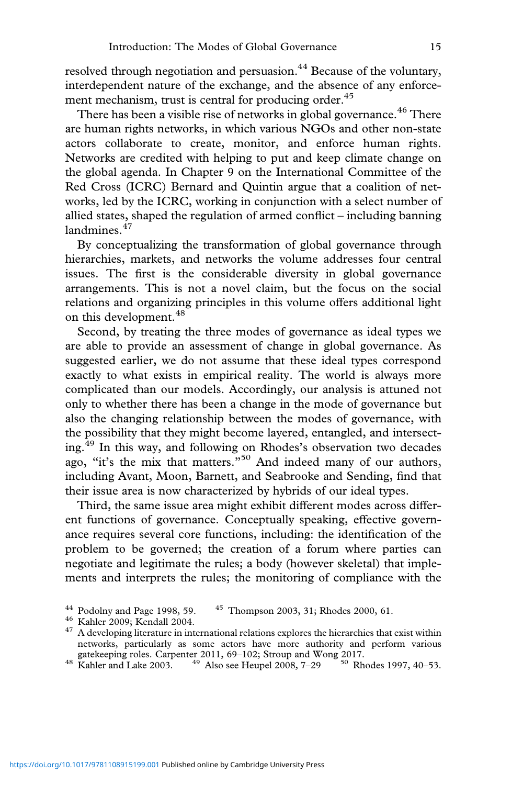resolved through negotiation and persuasion.<sup>44</sup> Because of the voluntary, interdependent nature of the exchange, and the absence of any enforcement mechanism, trust is central for producing order.<sup>45</sup>

There has been a visible rise of networks in global governance.<sup>46</sup> There are human rights networks, in which various NGOs and other non-state actors collaborate to create, monitor, and enforce human rights. Networks are credited with helping to put and keep climate change on the global agenda. In Chapter 9 on the International Committee of the Red Cross (ICRC) Bernard and Quintin argue that a coalition of networks, led by the ICRC, working in conjunction with a select number of allied states, shaped the regulation of armed conflict – including banning landmines.<sup>47</sup>

By conceptualizing the transformation of global governance through hierarchies, markets, and networks the volume addresses four central issues. The first is the considerable diversity in global governance arrangements. This is not a novel claim, but the focus on the social relations and organizing principles in this volume offers additional light on this development.<sup>48</sup>

Second, by treating the three modes of governance as ideal types we are able to provide an assessment of change in global governance. As suggested earlier, we do not assume that these ideal types correspond exactly to what exists in empirical reality. The world is always more complicated than our models. Accordingly, our analysis is attuned not only to whether there has been a change in the mode of governance but also the changing relationship between the modes of governance, with the possibility that they might become layered, entangled, and intersecting.<sup>49</sup> In this way, and following on Rhodes's observation two decades ago, "it's the mix that matters."<sup>50</sup> And indeed many of our authors, including Avant, Moon, Barnett, and Seabrooke and Sending, find that their issue area is now characterized by hybrids of our ideal types.

Third, the same issue area might exhibit different modes across different functions of governance. Conceptually speaking, effective governance requires several core functions, including: the identification of the problem to be governed; the creation of a forum where parties can negotiate and legitimate the rules; a body (however skeletal) that implements and interprets the rules; the monitoring of compliance with the

<sup>&</sup>lt;sup>44</sup> Podolny and Page 1998, 59.  $45$  Thompson 2003, 31; Rhodes 2000, 61.<br><sup>46</sup> Kahler 2009; Kendall 2004.  $47$  A developing literature in international relations explores the hierarchies that exist within networks, particularly as some actors have more authority and perform various gatekeeping roles. Carpenter 2011, 69–102; Stroup and Wong 2017.<br><sup>48</sup> Kahler and Lake 2003. <sup>49</sup> Also see Heupel 2008, 7–29 <sup>50</sup> Rhodes 1997, 40–53.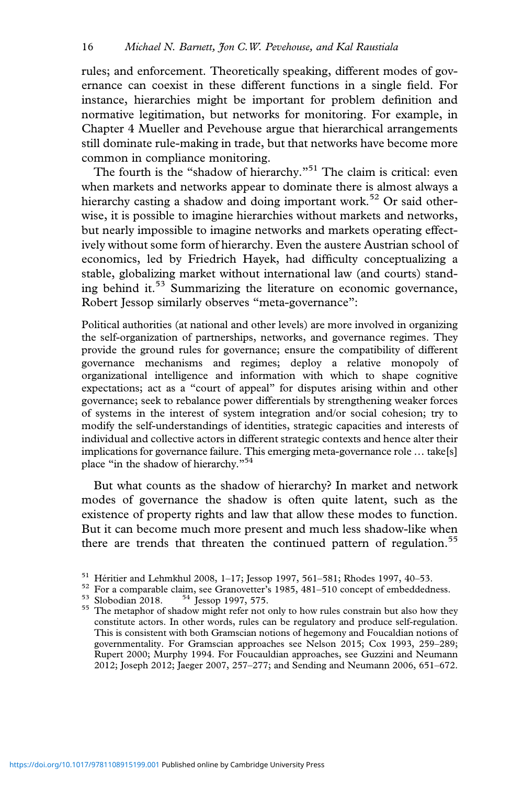rules; and enforcement. Theoretically speaking, different modes of governance can coexist in these different functions in a single field. For instance, hierarchies might be important for problem definition and normative legitimation, but networks for monitoring. For example, in Chapter 4 Mueller and Pevehouse argue that hierarchical arrangements still dominate rule-making in trade, but that networks have become more common in compliance monitoring.

The fourth is the "shadow of hierarchy."<sup>51</sup> The claim is critical: even when markets and networks appear to dominate there is almost always a hierarchy casting a shadow and doing important work.<sup>52</sup> Or said otherwise, it is possible to imagine hierarchies without markets and networks, but nearly impossible to imagine networks and markets operating effectively without some form of hierarchy. Even the austere Austrian school of economics, led by Friedrich Hayek, had difficulty conceptualizing a stable, globalizing market without international law (and courts) standing behind it.<sup>53</sup> Summarizing the literature on economic governance, Robert Jessop similarly observes "meta-governance":

Political authorities (at national and other levels) are more involved in organizing the self-organization of partnerships, networks, and governance regimes. They provide the ground rules for governance; ensure the compatibility of different governance mechanisms and regimes; deploy a relative monopoly of organizational intelligence and information with which to shape cognitive expectations; act as a "court of appeal" for disputes arising within and other governance; seek to rebalance power differentials by strengthening weaker forces of systems in the interest of system integration and/or social cohesion; try to modify the self-understandings of identities, strategic capacities and interests of individual and collective actors in different strategic contexts and hence alter their implications for governance failure. This emerging meta-governance role … take[s] place "in the shadow of hierarchy."<sup>54</sup>

But what counts as the shadow of hierarchy? In market and network modes of governance the shadow is often quite latent, such as the existence of property rights and law that allow these modes to function. But it can become much more present and much less shadow-like when there are trends that threaten the continued pattern of regulation.<sup>55</sup>

<sup>&</sup>lt;sup>51</sup> Héritier and Lehmkhul 2008, 1–17; Jessop 1997, 561–581; Rhodes 1997, 40–53.<br><sup>52</sup> For a comparable claim, see Granovetter's 1985, 481–510 concept of embeddedness.<br><sup>53</sup> Slobodian 2018. <sup>54</sup> Jessop 1997, 575.<br><sup>55</sup> The m constitute actors. In other words, rules can be regulatory and produce self-regulation. This is consistent with both Gramscian notions of hegemony and Foucaldian notions of governmentality. For Gramscian approaches see Nelson 2015; Cox 1993, 259–289; Rupert 2000; Murphy 1994. For Foucauldian approaches, see Guzzini and Neumann 2012; Joseph 2012; Jaeger 2007, 257–277; and Sending and Neumann 2006, 651–672.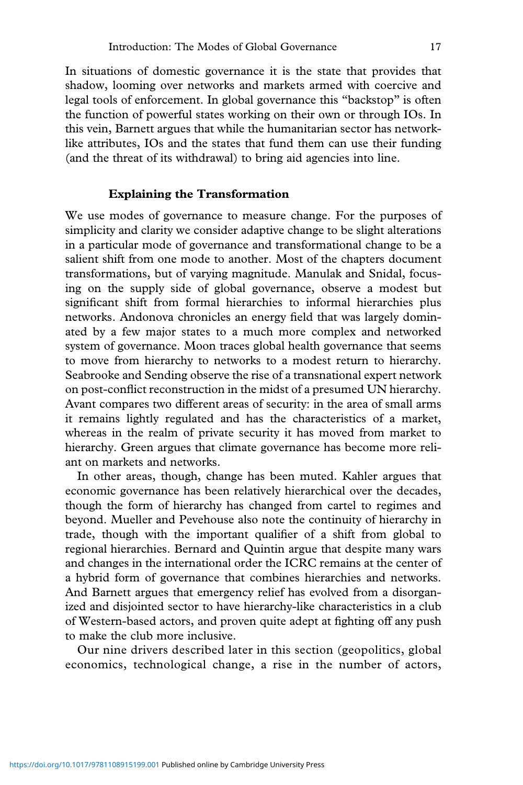In situations of domestic governance it is the state that provides that shadow, looming over networks and markets armed with coercive and legal tools of enforcement. In global governance this "backstop" is often the function of powerful states working on their own or through IOs. In this vein, Barnett argues that while the humanitarian sector has networklike attributes, IOs and the states that fund them can use their funding (and the threat of its withdrawal) to bring aid agencies into line.

# **Explaining the Transformation**

We use modes of governance to measure change. For the purposes of simplicity and clarity we consider adaptive change to be slight alterations in a particular mode of governance and transformational change to be a salient shift from one mode to another. Most of the chapters document transformations, but of varying magnitude. Manulak and Snidal, focusing on the supply side of global governance, observe a modest but significant shift from formal hierarchies to informal hierarchies plus networks. Andonova chronicles an energy field that was largely dominated by a few major states to a much more complex and networked system of governance. Moon traces global health governance that seems to move from hierarchy to networks to a modest return to hierarchy. Seabrooke and Sending observe the rise of a transnational expert network on post-conflict reconstruction in the midst of a presumed UN hierarchy. Avant compares two different areas of security: in the area of small arms it remains lightly regulated and has the characteristics of a market, whereas in the realm of private security it has moved from market to hierarchy. Green argues that climate governance has become more reliant on markets and networks.

In other areas, though, change has been muted. Kahler argues that economic governance has been relatively hierarchical over the decades, though the form of hierarchy has changed from cartel to regimes and beyond. Mueller and Pevehouse also note the continuity of hierarchy in trade, though with the important qualifier of a shift from global to regional hierarchies. Bernard and Quintin argue that despite many wars and changes in the international order the ICRC remains at the center of a hybrid form of governance that combines hierarchies and networks. And Barnett argues that emergency relief has evolved from a disorganized and disjointed sector to have hierarchy-like characteristics in a club of Western-based actors, and proven quite adept at fighting off any push to make the club more inclusive.

Our nine drivers described later in this section (geopolitics, global economics, technological change, a rise in the number of actors,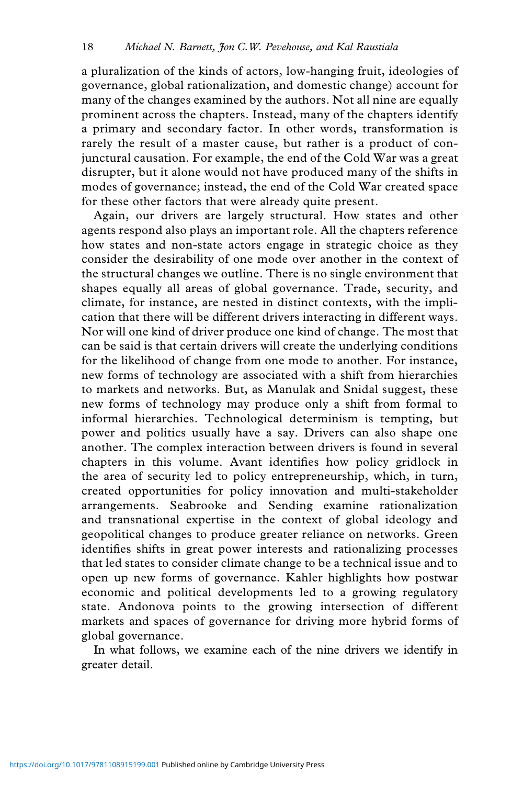a pluralization of the kinds of actors, low-hanging fruit, ideologies of governance, global rationalization, and domestic change) account for many of the changes examined by the authors. Not all nine are equally prominent across the chapters. Instead, many of the chapters identify a primary and secondary factor. In other words, transformation is rarely the result of a master cause, but rather is a product of conjunctural causation. For example, the end of the Cold War was a great disrupter, but it alone would not have produced many of the shifts in modes of governance; instead, the end of the Cold War created space for these other factors that were already quite present.

Again, our drivers are largely structural. How states and other agents respond also plays an important role. All the chapters reference how states and non-state actors engage in strategic choice as they consider the desirability of one mode over another in the context of the structural changes we outline. There is no single environment that shapes equally all areas of global governance. Trade, security, and climate, for instance, are nested in distinct contexts, with the implication that there will be different drivers interacting in different ways. Nor will one kind of driver produce one kind of change. The most that can be said is that certain drivers will create the underlying conditions for the likelihood of change from one mode to another. For instance, new forms of technology are associated with a shift from hierarchies to markets and networks. But, as Manulak and Snidal suggest, these new forms of technology may produce only a shift from formal to informal hierarchies. Technological determinism is tempting, but power and politics usually have a say. Drivers can also shape one another. The complex interaction between drivers is found in several chapters in this volume. Avant identifies how policy gridlock in the area of security led to policy entrepreneurship, which, in turn, created opportunities for policy innovation and multi-stakeholder arrangements. Seabrooke and Sending examine rationalization and transnational expertise in the context of global ideology and geopolitical changes to produce greater reliance on networks. Green identifies shifts in great power interests and rationalizing processes that led states to consider climate change to be a technical issue and to open up new forms of governance. Kahler highlights how postwar economic and political developments led to a growing regulatory state. Andonova points to the growing intersection of different markets and spaces of governance for driving more hybrid forms of global governance.

In what follows, we examine each of the nine drivers we identify in greater detail.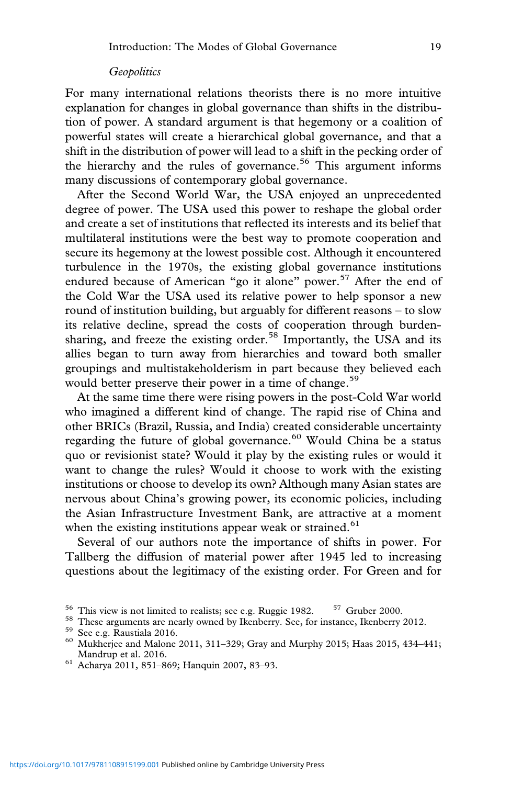## *Geopolitics*

For many international relations theorists there is no more intuitive explanation for changes in global governance than shifts in the distribution of power. A standard argument is that hegemony or a coalition of powerful states will create a hierarchical global governance, and that a shift in the distribution of power will lead to a shift in the pecking order of the hierarchy and the rules of governance.<sup>56</sup> This argument informs many discussions of contemporary global governance.

After the Second World War, the USA enjoyed an unprecedented degree of power. The USA used this power to reshape the global order and create a set of institutions that reflected its interests and its belief that multilateral institutions were the best way to promote cooperation and secure its hegemony at the lowest possible cost. Although it encountered turbulence in the 1970s, the existing global governance institutions endured because of American "go it alone" power.<sup>57</sup> After the end of the Cold War the USA used its relative power to help sponsor a new round of institution building, but arguably for different reasons – to slow its relative decline, spread the costs of cooperation through burdensharing, and freeze the existing order.<sup>58</sup> Importantly, the USA and its allies began to turn away from hierarchies and toward both smaller groupings and multistakeholderism in part because they believed each would better preserve their power in a time of change.<sup>59</sup>

At the same time there were rising powers in the post-Cold War world who imagined a different kind of change. The rapid rise of China and other BRICs (Brazil, Russia, and India) created considerable uncertainty regarding the future of global governance. $60$  Would China be a status quo or revisionist state? Would it play by the existing rules or would it want to change the rules? Would it choose to work with the existing institutions or choose to develop its own? Although many Asian states are nervous about China's growing power, its economic policies, including the Asian Infrastructure Investment Bank, are attractive at a moment when the existing institutions appear weak or strained.<sup>61</sup>

Several of our authors note the importance of shifts in power. For Tallberg the diffusion of material power after 1945 led to increasing questions about the legitimacy of the existing order. For Green and for

<sup>&</sup>lt;sup>56</sup> This view is not limited to realists; see e.g. Ruggie 1982. <sup>57</sup> Gruber 2000.<br><sup>58</sup> These arguments are nearly owned by Ikenberry. See, for instance, Ikenberry 2012.<br><sup>59</sup> See e.g. Raustiala 2016.<br><sup>60</sup> Mukherjee and Ma Mandrup et al. 2016. <sup>61</sup> Acharya 2011, 851–869; Hanquin 2007, 83–93.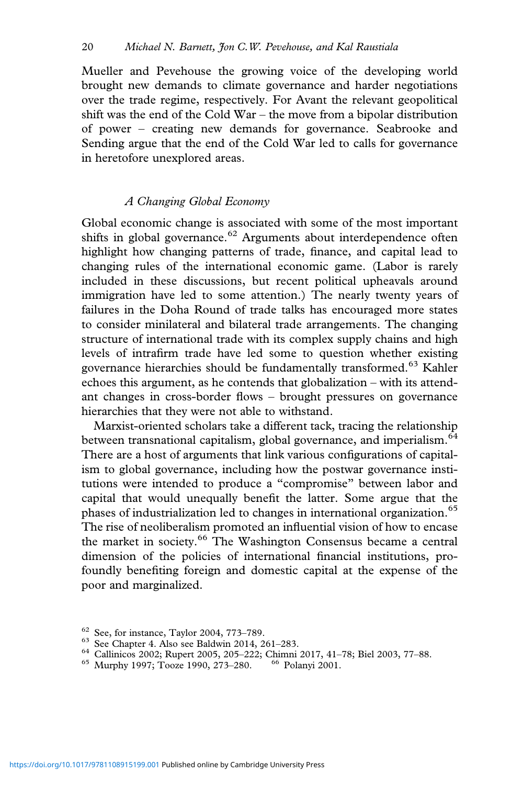Mueller and Pevehouse the growing voice of the developing world brought new demands to climate governance and harder negotiations over the trade regime, respectively. For Avant the relevant geopolitical shift was the end of the Cold War – the move from a bipolar distribution of power – creating new demands for governance. Seabrooke and Sending argue that the end of the Cold War led to calls for governance in heretofore unexplored areas.

## *A Changing Global Economy*

Global economic change is associated with some of the most important shifts in global governance.<sup>62</sup> Arguments about interdependence often highlight how changing patterns of trade, finance, and capital lead to changing rules of the international economic game. (Labor is rarely included in these discussions, but recent political upheavals around immigration have led to some attention.) The nearly twenty years of failures in the Doha Round of trade talks has encouraged more states to consider minilateral and bilateral trade arrangements. The changing structure of international trade with its complex supply chains and high levels of intrafirm trade have led some to question whether existing governance hierarchies should be fundamentally transformed.<sup>63</sup> Kahler echoes this argument, as he contends that globalization – with its attendant changes in cross-border flows – brought pressures on governance hierarchies that they were not able to withstand.

Marxist-oriented scholars take a different tack, tracing the relationship between transnational capitalism, global governance, and imperialism.<sup>64</sup> There are a host of arguments that link various configurations of capitalism to global governance, including how the postwar governance institutions were intended to produce a "compromise" between labor and capital that would unequally benefit the latter. Some argue that the phases of industrialization led to changes in international organization.<sup>65</sup> The rise of neoliberalism promoted an influential vision of how to encase the market in society.<sup>66</sup> The Washington Consensus became a central dimension of the policies of international financial institutions, profoundly benefiting foreign and domestic capital at the expense of the poor and marginalized.

- <sup>62</sup> See, for instance, Taylor 2004, 773–789.<br>
<sup>63</sup> See Chapter 4. Also see Baldwin 2014, 261–283.<br>
<sup>64</sup> Callinicos 2002; Rupert 2005, 205–222; Chimni 2017, 41–78; Biel 2003, 77–88.<br>
<sup>65</sup> Murphy 1997; Tooze 1990, 273–280.
-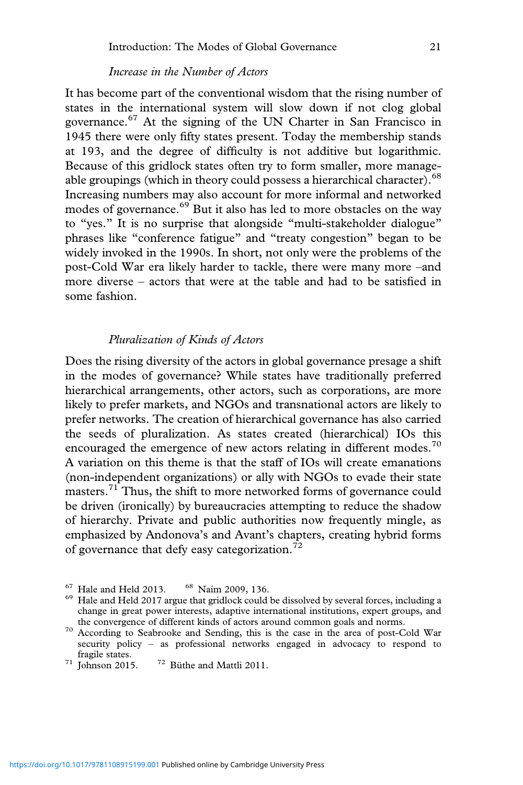# *Increase in the Number of Actors*

It has become part of the conventional wisdom that the rising number of states in the international system will slow down if not clog global governance.<sup>67</sup> At the signing of the UN Charter in San Francisco in 1945 there were only fifty states present. Today the membership stands at 193, and the degree of difficulty is not additive but logarithmic. Because of this gridlock states often try to form smaller, more manageable groupings (which in theory could possess a hierarchical character).<sup>68</sup> Increasing numbers may also account for more informal and networked modes of governance.<sup>69</sup> But it also has led to more obstacles on the way to "yes." It is no surprise that alongside "multi-stakeholder dialogue" phrases like "conference fatigue" and "treaty congestion" began to be widely invoked in the 1990s. In short, not only were the problems of the post-Cold War era likely harder to tackle, there were many more –and more diverse – actors that were at the table and had to be satisfied in some fashion.

# *Pluralization of Kinds of Actors*

Does the rising diversity of the actors in global governance presage a shift in the modes of governance? While states have traditionally preferred hierarchical arrangements, other actors, such as corporations, are more likely to prefer markets, and NGOs and transnational actors are likely to prefer networks. The creation of hierarchical governance has also carried the seeds of pluralization. As states created (hierarchical) IOs this encouraged the emergence of new actors relating in different modes.<sup>70</sup> A variation on this theme is that the staff of IOs will create emanations (non-independent organizations) or ally with NGOs to evade their state masters.<sup>71</sup> Thus, the shift to more networked forms of governance could be driven (ironically) by bureaucracies attempting to reduce the shadow of hierarchy. Private and public authorities now frequently mingle, as emphasized by Andonova's and Avant's chapters, creating hybrid forms of governance that defy easy categorization. $^{72}$ 

<sup>&</sup>lt;sup>67</sup> Hale and Held 2013. <sup>68</sup> Naím 2009, 136.<br><sup>69</sup> Hale and Held 2017 argue that gridlock could be dissolved by several forces, including a change in great power interests, adaptive international institutions, expert groups, and

the convergence of different kinds of actors around common goals and norms. <sup>70</sup> According to Seabrooke and Sending, this is the case in the area of post-Cold War security policy – as professional networks engaged in advocacy to respond to % $71$  Tohnson 2015.  $72$  Büthe and Mattli 2011.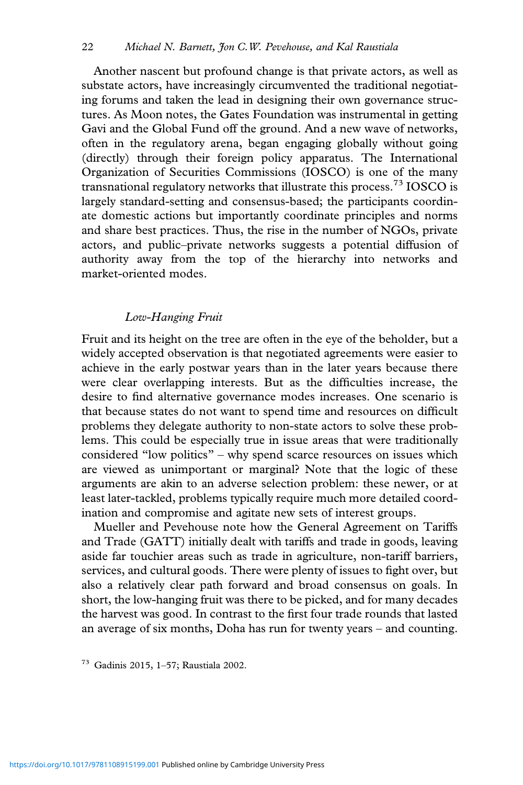Another nascent but profound change is that private actors, as well as substate actors, have increasingly circumvented the traditional negotiating forums and taken the lead in designing their own governance structures. As Moon notes, the Gates Foundation was instrumental in getting Gavi and the Global Fund off the ground. And a new wave of networks, often in the regulatory arena, began engaging globally without going (directly) through their foreign policy apparatus. The International Organization of Securities Commissions (IOSCO) is one of the many transnational regulatory networks that illustrate this process.<sup>73</sup> IOSCO is largely standard-setting and consensus-based; the participants coordinate domestic actions but importantly coordinate principles and norms and share best practices. Thus, the rise in the number of NGOs, private actors, and public–private networks suggests a potential diffusion of authority away from the top of the hierarchy into networks and market-oriented modes.

## *Low-Hanging Fruit*

Fruit and its height on the tree are often in the eye of the beholder, but a widely accepted observation is that negotiated agreements were easier to achieve in the early postwar years than in the later years because there were clear overlapping interests. But as the difficulties increase, the desire to find alternative governance modes increases. One scenario is that because states do not want to spend time and resources on difficult problems they delegate authority to non-state actors to solve these problems. This could be especially true in issue areas that were traditionally considered "low politics" – why spend scarce resources on issues which are viewed as unimportant or marginal? Note that the logic of these arguments are akin to an adverse selection problem: these newer, or at least later-tackled, problems typically require much more detailed coordination and compromise and agitate new sets of interest groups.

Mueller and Pevehouse note how the General Agreement on Tariffs and Trade (GATT) initially dealt with tariffs and trade in goods, leaving aside far touchier areas such as trade in agriculture, non-tariff barriers, services, and cultural goods. There were plenty of issues to fight over, but also a relatively clear path forward and broad consensus on goals. In short, the low-hanging fruit was there to be picked, and for many decades the harvest was good. In contrast to the first four trade rounds that lasted an average of six months, Doha has run for twenty years – and counting.

<sup>73</sup> Gadinis 2015, 1–57; Raustiala 2002.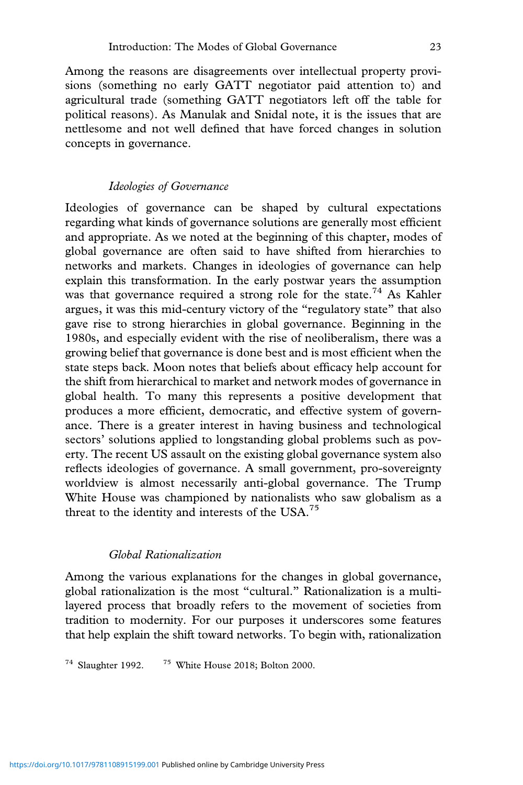Among the reasons are disagreements over intellectual property provisions (something no early GATT negotiator paid attention to) and agricultural trade (something GATT negotiators left off the table for political reasons). As Manulak and Snidal note, it is the issues that are nettlesome and not well defined that have forced changes in solution concepts in governance.

## *Ideologies of Governance*

Ideologies of governance can be shaped by cultural expectations regarding what kinds of governance solutions are generally most efficient and appropriate. As we noted at the beginning of this chapter, modes of global governance are often said to have shifted from hierarchies to networks and markets. Changes in ideologies of governance can help explain this transformation. In the early postwar years the assumption was that governance required a strong role for the state.<sup>74</sup> As Kahler argues, it was this mid-century victory of the "regulatory state" that also gave rise to strong hierarchies in global governance. Beginning in the 1980s, and especially evident with the rise of neoliberalism, there was a growing belief that governance is done best and is most efficient when the state steps back. Moon notes that beliefs about efficacy help account for the shift from hierarchical to market and network modes of governance in global health. To many this represents a positive development that produces a more efficient, democratic, and effective system of governance. There is a greater interest in having business and technological sectors' solutions applied to longstanding global problems such as poverty. The recent US assault on the existing global governance system also reflects ideologies of governance. A small government, pro-sovereignty worldview is almost necessarily anti-global governance. The Trump White House was championed by nationalists who saw globalism as a threat to the identity and interests of the USA.<sup>75</sup>

# *Global Rationalization*

Among the various explanations for the changes in global governance, global rationalization is the most "cultural." Rationalization is a multilayered process that broadly refers to the movement of societies from tradition to modernity. For our purposes it underscores some features that help explain the shift toward networks. To begin with, rationalization

<sup>74</sup> Slaughter 1992. <sup>75</sup> White House 2018; Bolton 2000.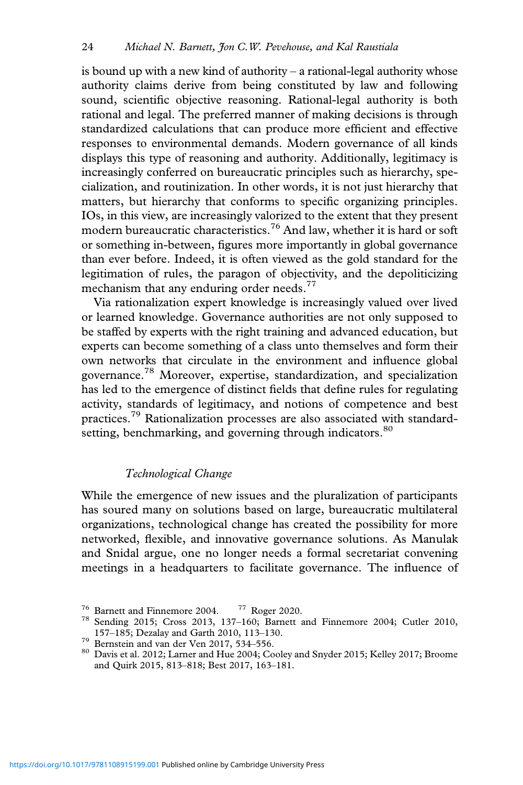is bound up with a new kind of authority – a rational-legal authority whose authority claims derive from being constituted by law and following sound, scientific objective reasoning. Rational-legal authority is both rational and legal. The preferred manner of making decisions is through standardized calculations that can produce more efficient and effective responses to environmental demands. Modern governance of all kinds displays this type of reasoning and authority. Additionally, legitimacy is increasingly conferred on bureaucratic principles such as hierarchy, specialization, and routinization. In other words, it is not just hierarchy that matters, but hierarchy that conforms to specific organizing principles. IOs, in this view, are increasingly valorized to the extent that they present modern bureaucratic characteristics.<sup>76</sup> And law, whether it is hard or soft or something in-between, figures more importantly in global governance than ever before. Indeed, it is often viewed as the gold standard for the legitimation of rules, the paragon of objectivity, and the depoliticizing mechanism that any enduring order needs.<sup>77</sup>

Via rationalization expert knowledge is increasingly valued over lived or learned knowledge. Governance authorities are not only supposed to be staffed by experts with the right training and advanced education, but experts can become something of a class unto themselves and form their own networks that circulate in the environment and influence global governance.<sup>78</sup> Moreover, expertise, standardization, and specialization has led to the emergence of distinct fields that define rules for regulating activity, standards of legitimacy, and notions of competence and best practices.<sup>79</sup> Rationalization processes are also associated with standardsetting, benchmarking, and governing through indicators.<sup>80</sup>

# *Technological Change*

While the emergence of new issues and the pluralization of participants has soured many on solutions based on large, bureaucratic multilateral organizations, technological change has created the possibility for more networked, flexible, and innovative governance solutions. As Manulak and Snidal argue, one no longer needs a formal secretariat convening meetings in a headquarters to facilitate governance. The influence of

<sup>&</sup>lt;sup>76</sup> Barnett and Finnemore 2004. <sup>77</sup> Roger 2020.<br><sup>78</sup> Sending 2015; Cross 2013, 137–160; Barnett and Finnemore 2004; Cutler 2010, 157–185; Dezalay and Garth 2010, 113–130.

 $^{79}$  Bernstein and van der Ven 2017, 534–556.<br><sup>80</sup> Davis et al. 2012; Larner and Hue 2004; Cooley and Snyder 2015; Kelley 2017; Broome and Quirk 2015, 813–818; Best 2017, 163–181.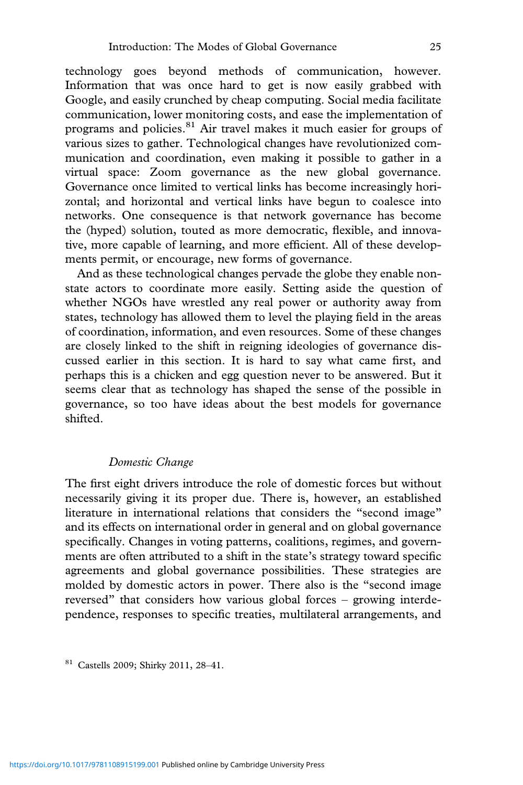technology goes beyond methods of communication, however. Information that was once hard to get is now easily grabbed with Google, and easily crunched by cheap computing. Social media facilitate communication, lower monitoring costs, and ease the implementation of programs and policies.<sup>81</sup> Air travel makes it much easier for groups of various sizes to gather. Technological changes have revolutionized communication and coordination, even making it possible to gather in a virtual space: Zoom governance as the new global governance. Governance once limited to vertical links has become increasingly horizontal; and horizontal and vertical links have begun to coalesce into networks. One consequence is that network governance has become the (hyped) solution, touted as more democratic, flexible, and innovative, more capable of learning, and more efficient. All of these developments permit, or encourage, new forms of governance.

And as these technological changes pervade the globe they enable nonstate actors to coordinate more easily. Setting aside the question of whether NGOs have wrestled any real power or authority away from states, technology has allowed them to level the playing field in the areas of coordination, information, and even resources. Some of these changes are closely linked to the shift in reigning ideologies of governance discussed earlier in this section. It is hard to say what came first, and perhaps this is a chicken and egg question never to be answered. But it seems clear that as technology has shaped the sense of the possible in governance, so too have ideas about the best models for governance shifted.

## *Domestic Change*

The first eight drivers introduce the role of domestic forces but without necessarily giving it its proper due. There is, however, an established literature in international relations that considers the "second image" and its effects on international order in general and on global governance specifically. Changes in voting patterns, coalitions, regimes, and governments are often attributed to a shift in the state's strategy toward specific agreements and global governance possibilities. These strategies are molded by domestic actors in power. There also is the "second image reversed" that considers how various global forces – growing interdependence, responses to specific treaties, multilateral arrangements, and

<sup>81</sup> Castells 2009; Shirky 2011, 28–41.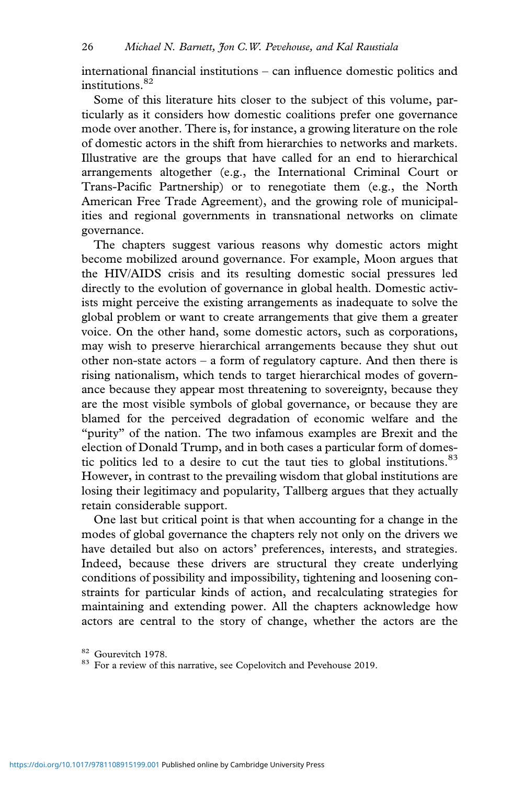international financial institutions – can influence domestic politics and institutions.<sup>82</sup>

Some of this literature hits closer to the subject of this volume, particularly as it considers how domestic coalitions prefer one governance mode over another. There is, for instance, a growing literature on the role of domestic actors in the shift from hierarchies to networks and markets. Illustrative are the groups that have called for an end to hierarchical arrangements altogether (e.g., the International Criminal Court or Trans-Pacific Partnership) or to renegotiate them (e.g., the North American Free Trade Agreement), and the growing role of municipalities and regional governments in transnational networks on climate governance.

The chapters suggest various reasons why domestic actors might become mobilized around governance. For example, Moon argues that the HIV/AIDS crisis and its resulting domestic social pressures led directly to the evolution of governance in global health. Domestic activists might perceive the existing arrangements as inadequate to solve the global problem or want to create arrangements that give them a greater voice. On the other hand, some domestic actors, such as corporations, may wish to preserve hierarchical arrangements because they shut out other non-state actors – a form of regulatory capture. And then there is rising nationalism, which tends to target hierarchical modes of governance because they appear most threatening to sovereignty, because they are the most visible symbols of global governance, or because they are blamed for the perceived degradation of economic welfare and the "purity" of the nation. The two infamous examples are Brexit and the election of Donald Trump, and in both cases a particular form of domestic politics led to a desire to cut the taut ties to global institutions. $83$ However, in contrast to the prevailing wisdom that global institutions are losing their legitimacy and popularity, Tallberg argues that they actually retain considerable support.

One last but critical point is that when accounting for a change in the modes of global governance the chapters rely not only on the drivers we have detailed but also on actors' preferences, interests, and strategies. Indeed, because these drivers are structural they create underlying conditions of possibility and impossibility, tightening and loosening constraints for particular kinds of action, and recalculating strategies for maintaining and extending power. All the chapters acknowledge how actors are central to the story of change, whether the actors are the

 $82$  Gourevitch 1978.<br>  $83$  For a review of this narrative, see Copelovitch and Pevehouse 2019.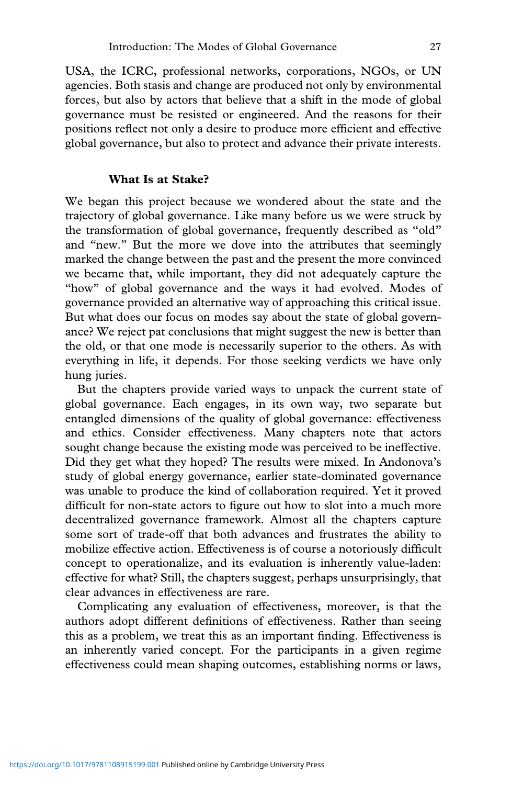USA, the ICRC, professional networks, corporations, NGOs, or UN agencies. Both stasis and change are produced not only by environmental forces, but also by actors that believe that a shift in the mode of global governance must be resisted or engineered. And the reasons for their positions reflect not only a desire to produce more efficient and effective global governance, but also to protect and advance their private interests.

## **What Is at Stake?**

We began this project because we wondered about the state and the trajectory of global governance. Like many before us we were struck by the transformation of global governance, frequently described as "old" and "new." But the more we dove into the attributes that seemingly marked the change between the past and the present the more convinced we became that, while important, they did not adequately capture the "how" of global governance and the ways it had evolved. Modes of governance provided an alternative way of approaching this critical issue. But what does our focus on modes say about the state of global governance? We reject pat conclusions that might suggest the new is better than the old, or that one mode is necessarily superior to the others. As with everything in life, it depends. For those seeking verdicts we have only hung juries.

But the chapters provide varied ways to unpack the current state of global governance. Each engages, in its own way, two separate but entangled dimensions of the quality of global governance: effectiveness and ethics. Consider effectiveness. Many chapters note that actors sought change because the existing mode was perceived to be ineffective. Did they get what they hoped? The results were mixed. In Andonova's study of global energy governance, earlier state-dominated governance was unable to produce the kind of collaboration required. Yet it proved difficult for non-state actors to figure out how to slot into a much more decentralized governance framework. Almost all the chapters capture some sort of trade-off that both advances and frustrates the ability to mobilize effective action. Effectiveness is of course a notoriously difficult concept to operationalize, and its evaluation is inherently value-laden: effective for what? Still, the chapters suggest, perhaps unsurprisingly, that clear advances in effectiveness are rare.

Complicating any evaluation of effectiveness, moreover, is that the authors adopt different definitions of effectiveness. Rather than seeing this as a problem, we treat this as an important finding. Effectiveness is an inherently varied concept. For the participants in a given regime effectiveness could mean shaping outcomes, establishing norms or laws,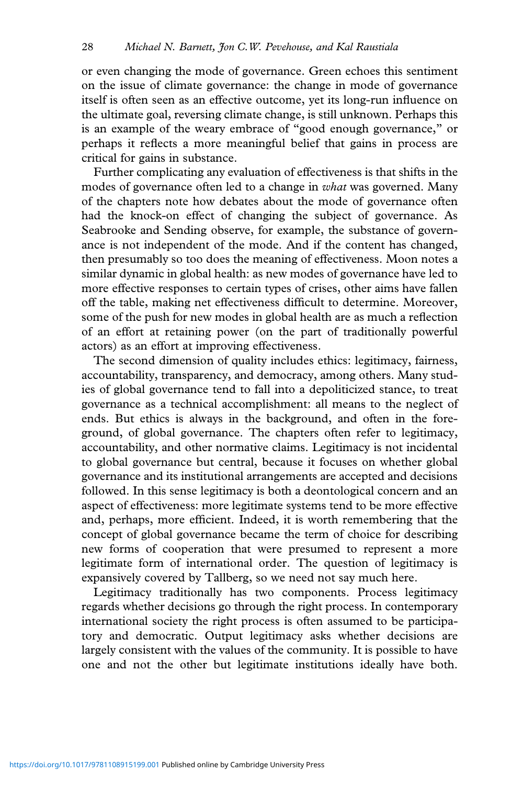or even changing the mode of governance. Green echoes this sentiment on the issue of climate governance: the change in mode of governance itself is often seen as an effective outcome, yet its long-run influence on the ultimate goal, reversing climate change, is still unknown. Perhaps this is an example of the weary embrace of "good enough governance," or perhaps it reflects a more meaningful belief that gains in process are critical for gains in substance.

Further complicating any evaluation of effectiveness is that shifts in the modes of governance often led to a change in *what* was governed. Many of the chapters note how debates about the mode of governance often had the knock-on effect of changing the subject of governance. As Seabrooke and Sending observe, for example, the substance of governance is not independent of the mode. And if the content has changed, then presumably so too does the meaning of effectiveness. Moon notes a similar dynamic in global health: as new modes of governance have led to more effective responses to certain types of crises, other aims have fallen off the table, making net effectiveness difficult to determine. Moreover, some of the push for new modes in global health are as much a reflection of an effort at retaining power (on the part of traditionally powerful actors) as an effort at improving effectiveness.

The second dimension of quality includes ethics: legitimacy, fairness, accountability, transparency, and democracy, among others. Many studies of global governance tend to fall into a depoliticized stance, to treat governance as a technical accomplishment: all means to the neglect of ends. But ethics is always in the background, and often in the foreground, of global governance. The chapters often refer to legitimacy, accountability, and other normative claims. Legitimacy is not incidental to global governance but central, because it focuses on whether global governance and its institutional arrangements are accepted and decisions followed. In this sense legitimacy is both a deontological concern and an aspect of effectiveness: more legitimate systems tend to be more effective and, perhaps, more efficient. Indeed, it is worth remembering that the concept of global governance became the term of choice for describing new forms of cooperation that were presumed to represent a more legitimate form of international order. The question of legitimacy is expansively covered by Tallberg, so we need not say much here.

Legitimacy traditionally has two components. Process legitimacy regards whether decisions go through the right process. In contemporary international society the right process is often assumed to be participatory and democratic. Output legitimacy asks whether decisions are largely consistent with the values of the community. It is possible to have one and not the other but legitimate institutions ideally have both.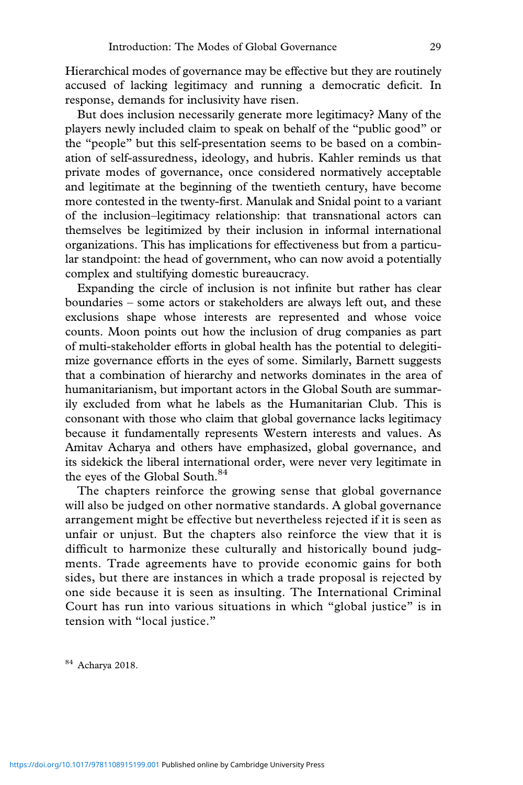Hierarchical modes of governance may be effective but they are routinely accused of lacking legitimacy and running a democratic deficit. In response, demands for inclusivity have risen.

But does inclusion necessarily generate more legitimacy? Many of the players newly included claim to speak on behalf of the "public good" or the "people" but this self-presentation seems to be based on a combination of self-assuredness, ideology, and hubris. Kahler reminds us that private modes of governance, once considered normatively acceptable and legitimate at the beginning of the twentieth century, have become more contested in the twenty-first. Manulak and Snidal point to a variant of the inclusion–legitimacy relationship: that transnational actors can themselves be legitimized by their inclusion in informal international organizations. This has implications for effectiveness but from a particular standpoint: the head of government, who can now avoid a potentially complex and stultifying domestic bureaucracy.

Expanding the circle of inclusion is not infinite but rather has clear boundaries – some actors or stakeholders are always left out, and these exclusions shape whose interests are represented and whose voice counts. Moon points out how the inclusion of drug companies as part of multi-stakeholder efforts in global health has the potential to delegitimize governance efforts in the eyes of some. Similarly, Barnett suggests that a combination of hierarchy and networks dominates in the area of humanitarianism, but important actors in the Global South are summarily excluded from what he labels as the Humanitarian Club. This is consonant with those who claim that global governance lacks legitimacy because it fundamentally represents Western interests and values. As Amitav Acharya and others have emphasized, global governance, and its sidekick the liberal international order, were never very legitimate in the eyes of the Global South.<sup>84</sup>

The chapters reinforce the growing sense that global governance will also be judged on other normative standards. A global governance arrangement might be effective but nevertheless rejected if it is seen as unfair or unjust. But the chapters also reinforce the view that it is difficult to harmonize these culturally and historically bound judgments. Trade agreements have to provide economic gains for both sides, but there are instances in which a trade proposal is rejected by one side because it is seen as insulting. The International Criminal Court has run into various situations in which "global justice" is in tension with "local justice."

<sup>84</sup> Acharya 2018.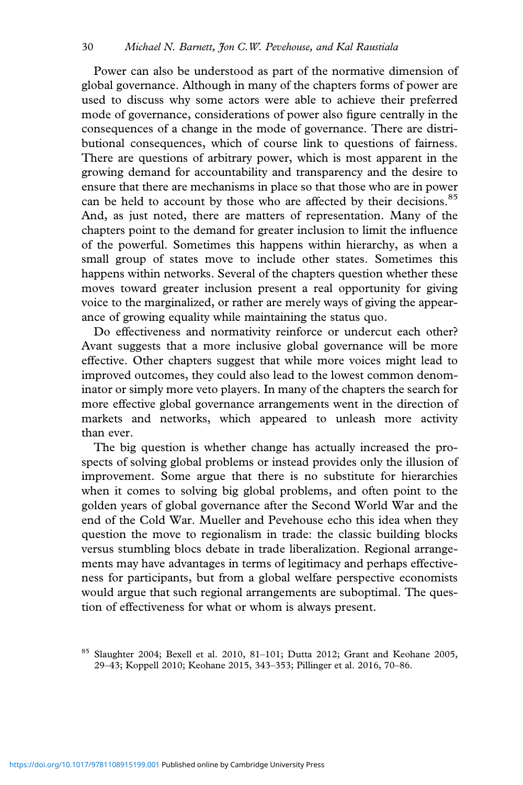Power can also be understood as part of the normative dimension of global governance. Although in many of the chapters forms of power are used to discuss why some actors were able to achieve their preferred mode of governance, considerations of power also figure centrally in the consequences of a change in the mode of governance. There are distributional consequences, which of course link to questions of fairness. There are questions of arbitrary power, which is most apparent in the growing demand for accountability and transparency and the desire to ensure that there are mechanisms in place so that those who are in power can be held to account by those who are affected by their decisions.<sup>85</sup> And, as just noted, there are matters of representation. Many of the chapters point to the demand for greater inclusion to limit the influence of the powerful. Sometimes this happens within hierarchy, as when a small group of states move to include other states. Sometimes this happens within networks. Several of the chapters question whether these moves toward greater inclusion present a real opportunity for giving voice to the marginalized, or rather are merely ways of giving the appearance of growing equality while maintaining the status quo.

Do effectiveness and normativity reinforce or undercut each other? Avant suggests that a more inclusive global governance will be more effective. Other chapters suggest that while more voices might lead to improved outcomes, they could also lead to the lowest common denominator or simply more veto players. In many of the chapters the search for more effective global governance arrangements went in the direction of markets and networks, which appeared to unleash more activity than ever.

The big question is whether change has actually increased the prospects of solving global problems or instead provides only the illusion of improvement. Some argue that there is no substitute for hierarchies when it comes to solving big global problems, and often point to the golden years of global governance after the Second World War and the end of the Cold War. Mueller and Pevehouse echo this idea when they question the move to regionalism in trade: the classic building blocks versus stumbling blocs debate in trade liberalization. Regional arrangements may have advantages in terms of legitimacy and perhaps effectiveness for participants, but from a global welfare perspective economists would argue that such regional arrangements are suboptimal. The question of effectiveness for what or whom is always present.

<sup>85</sup> Slaughter 2004; Bexell et al. 2010, 81–101; Dutta 2012; Grant and Keohane 2005, 29–43; Koppell 2010; Keohane 2015, 343–353; Pillinger et al. 2016, 70–86.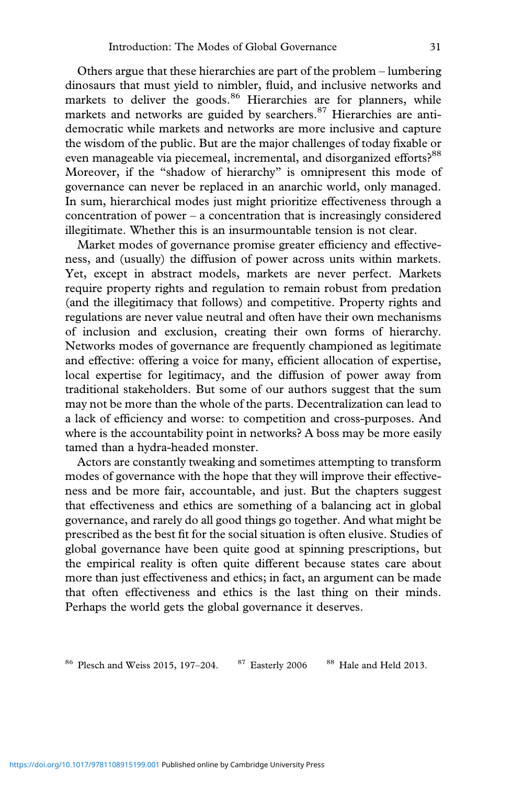Others argue that these hierarchies are part of the problem – lumbering dinosaurs that must yield to nimbler, fluid, and inclusive networks and markets to deliver the goods.<sup>86</sup> Hierarchies are for planners, while markets and networks are guided by searchers.<sup>87</sup> Hierarchies are antidemocratic while markets and networks are more inclusive and capture the wisdom of the public. But are the major challenges of today fixable or even manageable via piecemeal, incremental, and disorganized efforts?<sup>88</sup> Moreover, if the "shadow of hierarchy" is omnipresent this mode of governance can never be replaced in an anarchic world, only managed. In sum, hierarchical modes just might prioritize effectiveness through a concentration of power – a concentration that is increasingly considered illegitimate. Whether this is an insurmountable tension is not clear.

Market modes of governance promise greater efficiency and effectiveness, and (usually) the diffusion of power across units within markets. Yet, except in abstract models, markets are never perfect. Markets require property rights and regulation to remain robust from predation (and the illegitimacy that follows) and competitive. Property rights and regulations are never value neutral and often have their own mechanisms of inclusion and exclusion, creating their own forms of hierarchy. Networks modes of governance are frequently championed as legitimate and effective: offering a voice for many, efficient allocation of expertise, local expertise for legitimacy, and the diffusion of power away from traditional stakeholders. But some of our authors suggest that the sum may not be more than the whole of the parts. Decentralization can lead to a lack of efficiency and worse: to competition and cross-purposes. And where is the accountability point in networks? A boss may be more easily tamed than a hydra-headed monster.

Actors are constantly tweaking and sometimes attempting to transform modes of governance with the hope that they will improve their effectiveness and be more fair, accountable, and just. But the chapters suggest that effectiveness and ethics are something of a balancing act in global governance, and rarely do all good things go together. And what might be prescribed as the best fit for the social situation is often elusive. Studies of global governance have been quite good at spinning prescriptions, but the empirical reality is often quite different because states care about more than just effectiveness and ethics; in fact, an argument can be made that often effectiveness and ethics is the last thing on their minds. Perhaps the world gets the global governance it deserves.

<sup>86</sup> Plesch and Weiss 2015, 197-204. <sup>87</sup> Easterly 2006 <sup>88</sup> Hale and Held 2013.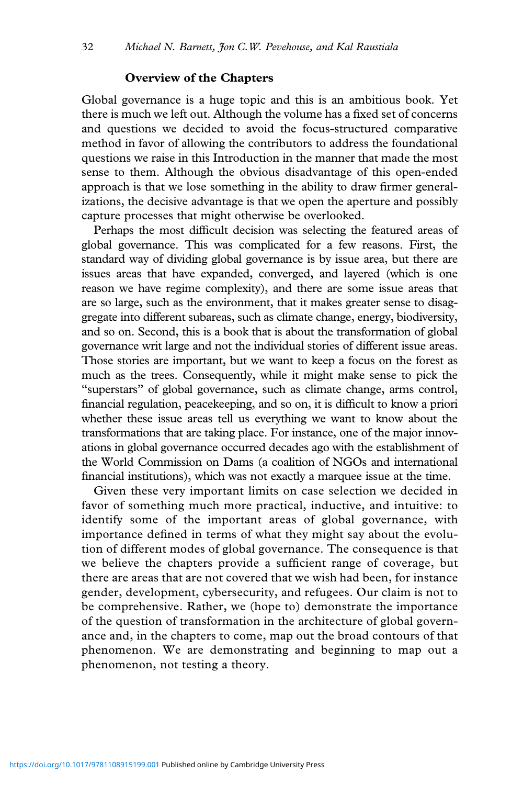#### **Overview of the Chapters**

Global governance is a huge topic and this is an ambitious book. Yet there is much we left out. Although the volume has a fixed set of concerns and questions we decided to avoid the focus-structured comparative method in favor of allowing the contributors to address the foundational questions we raise in this Introduction in the manner that made the most sense to them. Although the obvious disadvantage of this open-ended approach is that we lose something in the ability to draw firmer generalizations, the decisive advantage is that we open the aperture and possibly capture processes that might otherwise be overlooked.

Perhaps the most difficult decision was selecting the featured areas of global governance. This was complicated for a few reasons. First, the standard way of dividing global governance is by issue area, but there are issues areas that have expanded, converged, and layered (which is one reason we have regime complexity), and there are some issue areas that are so large, such as the environment, that it makes greater sense to disaggregate into different subareas, such as climate change, energy, biodiversity, and so on. Second, this is a book that is about the transformation of global governance writ large and not the individual stories of different issue areas. Those stories are important, but we want to keep a focus on the forest as much as the trees. Consequently, while it might make sense to pick the "superstars" of global governance, such as climate change, arms control, financial regulation, peacekeeping, and so on, it is difficult to know a priori whether these issue areas tell us everything we want to know about the transformations that are taking place. For instance, one of the major innovations in global governance occurred decades ago with the establishment of the World Commission on Dams (a coalition of NGOs and international financial institutions), which was not exactly a marquee issue at the time.

Given these very important limits on case selection we decided in favor of something much more practical, inductive, and intuitive: to identify some of the important areas of global governance, with importance defined in terms of what they might say about the evolution of different modes of global governance. The consequence is that we believe the chapters provide a sufficient range of coverage, but there are areas that are not covered that we wish had been, for instance gender, development, cybersecurity, and refugees. Our claim is not to be comprehensive. Rather, we (hope to) demonstrate the importance of the question of transformation in the architecture of global governance and, in the chapters to come, map out the broad contours of that phenomenon. We are demonstrating and beginning to map out a phenomenon, not testing a theory.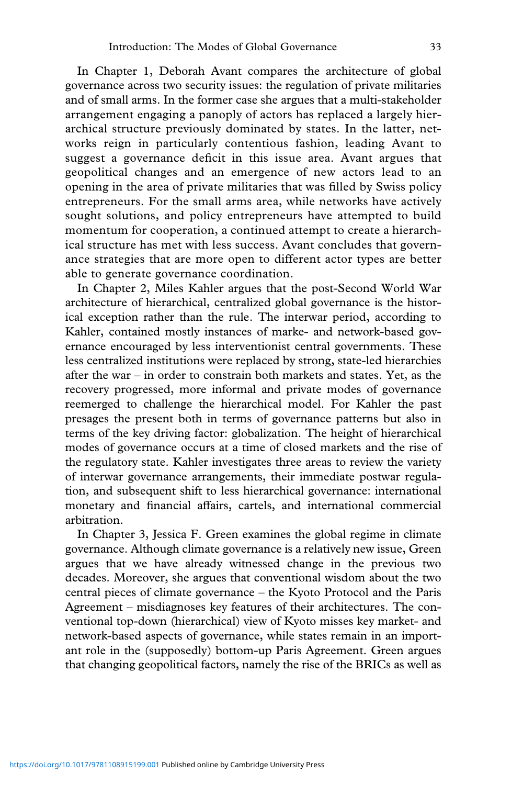In Chapter 1, Deborah Avant compares the architecture of global governance across two security issues: the regulation of private militaries and of small arms. In the former case she argues that a multi-stakeholder arrangement engaging a panoply of actors has replaced a largely hierarchical structure previously dominated by states. In the latter, networks reign in particularly contentious fashion, leading Avant to suggest a governance deficit in this issue area. Avant argues that geopolitical changes and an emergence of new actors lead to an opening in the area of private militaries that was filled by Swiss policy entrepreneurs. For the small arms area, while networks have actively sought solutions, and policy entrepreneurs have attempted to build momentum for cooperation, a continued attempt to create a hierarchical structure has met with less success. Avant concludes that governance strategies that are more open to different actor types are better able to generate governance coordination.

In Chapter 2, Miles Kahler argues that the post-Second World War architecture of hierarchical, centralized global governance is the historical exception rather than the rule. The interwar period, according to Kahler, contained mostly instances of marke- and network-based governance encouraged by less interventionist central governments. These less centralized institutions were replaced by strong, state-led hierarchies after the war – in order to constrain both markets and states. Yet, as the recovery progressed, more informal and private modes of governance reemerged to challenge the hierarchical model. For Kahler the past presages the present both in terms of governance patterns but also in terms of the key driving factor: globalization. The height of hierarchical modes of governance occurs at a time of closed markets and the rise of the regulatory state. Kahler investigates three areas to review the variety of interwar governance arrangements, their immediate postwar regulation, and subsequent shift to less hierarchical governance: international monetary and financial affairs, cartels, and international commercial arbitration.

In Chapter 3, Jessica F. Green examines the global regime in climate governance. Although climate governance is a relatively new issue, Green argues that we have already witnessed change in the previous two decades. Moreover, she argues that conventional wisdom about the two central pieces of climate governance – the Kyoto Protocol and the Paris Agreement – misdiagnoses key features of their architectures. The conventional top-down (hierarchical) view of Kyoto misses key market- and network-based aspects of governance, while states remain in an important role in the (supposedly) bottom-up Paris Agreement. Green argues that changing geopolitical factors, namely the rise of the BRICs as well as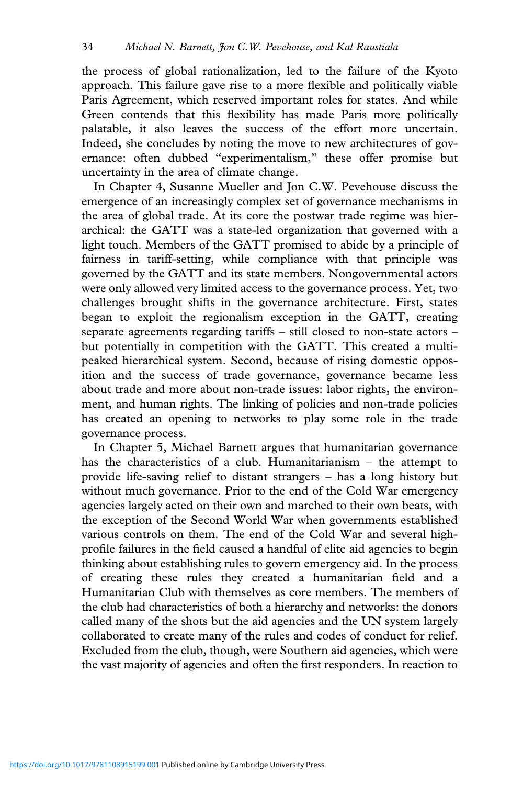the process of global rationalization, led to the failure of the Kyoto approach. This failure gave rise to a more flexible and politically viable Paris Agreement, which reserved important roles for states. And while Green contends that this flexibility has made Paris more politically palatable, it also leaves the success of the effort more uncertain. Indeed, she concludes by noting the move to new architectures of governance: often dubbed "experimentalism," these offer promise but uncertainty in the area of climate change.

In Chapter 4, Susanne Mueller and Jon C.W. Pevehouse discuss the emergence of an increasingly complex set of governance mechanisms in the area of global trade. At its core the postwar trade regime was hierarchical: the GATT was a state-led organization that governed with a light touch. Members of the GATT promised to abide by a principle of fairness in tariff-setting, while compliance with that principle was governed by the GATT and its state members. Nongovernmental actors were only allowed very limited access to the governance process. Yet, two challenges brought shifts in the governance architecture. First, states began to exploit the regionalism exception in the GATT, creating separate agreements regarding tariffs – still closed to non-state actors – but potentially in competition with the GATT. This created a multipeaked hierarchical system. Second, because of rising domestic opposition and the success of trade governance, governance became less about trade and more about non-trade issues: labor rights, the environment, and human rights. The linking of policies and non-trade policies has created an opening to networks to play some role in the trade governance process.

In Chapter 5, Michael Barnett argues that humanitarian governance has the characteristics of a club. Humanitarianism – the attempt to provide life-saving relief to distant strangers – has a long history but without much governance. Prior to the end of the Cold War emergency agencies largely acted on their own and marched to their own beats, with the exception of the Second World War when governments established various controls on them. The end of the Cold War and several highprofile failures in the field caused a handful of elite aid agencies to begin thinking about establishing rules to govern emergency aid. In the process of creating these rules they created a humanitarian field and a Humanitarian Club with themselves as core members. The members of the club had characteristics of both a hierarchy and networks: the donors called many of the shots but the aid agencies and the UN system largely collaborated to create many of the rules and codes of conduct for relief. Excluded from the club, though, were Southern aid agencies, which were the vast majority of agencies and often the first responders. In reaction to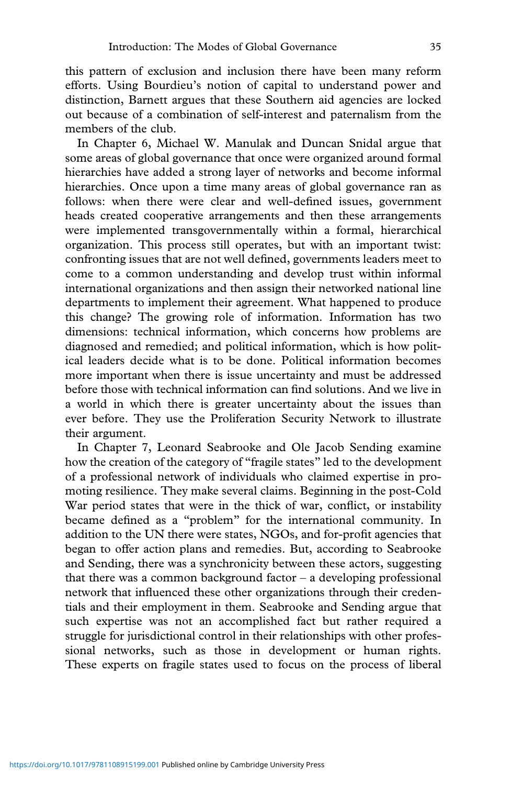this pattern of exclusion and inclusion there have been many reform efforts. Using Bourdieu's notion of capital to understand power and distinction, Barnett argues that these Southern aid agencies are locked out because of a combination of self-interest and paternalism from the members of the club.

In Chapter 6, Michael W. Manulak and Duncan Snidal argue that some areas of global governance that once were organized around formal hierarchies have added a strong layer of networks and become informal hierarchies. Once upon a time many areas of global governance ran as follows: when there were clear and well-defined issues, government heads created cooperative arrangements and then these arrangements were implemented transgovernmentally within a formal, hierarchical organization. This process still operates, but with an important twist: confronting issues that are not well defined, governments leaders meet to come to a common understanding and develop trust within informal international organizations and then assign their networked national line departments to implement their agreement. What happened to produce this change? The growing role of information. Information has two dimensions: technical information, which concerns how problems are diagnosed and remedied; and political information, which is how political leaders decide what is to be done. Political information becomes more important when there is issue uncertainty and must be addressed before those with technical information can find solutions. And we live in a world in which there is greater uncertainty about the issues than ever before. They use the Proliferation Security Network to illustrate their argument.

In Chapter 7, Leonard Seabrooke and Ole Jacob Sending examine how the creation of the category of "fragile states" led to the development of a professional network of individuals who claimed expertise in promoting resilience. They make several claims. Beginning in the post-Cold War period states that were in the thick of war, conflict, or instability became defined as a "problem" for the international community. In addition to the UN there were states, NGOs, and for-profit agencies that began to offer action plans and remedies. But, according to Seabrooke and Sending, there was a synchronicity between these actors, suggesting that there was a common background factor  $-$  a developing professional network that influenced these other organizations through their credentials and their employment in them. Seabrooke and Sending argue that such expertise was not an accomplished fact but rather required a struggle for jurisdictional control in their relationships with other professional networks, such as those in development or human rights. These experts on fragile states used to focus on the process of liberal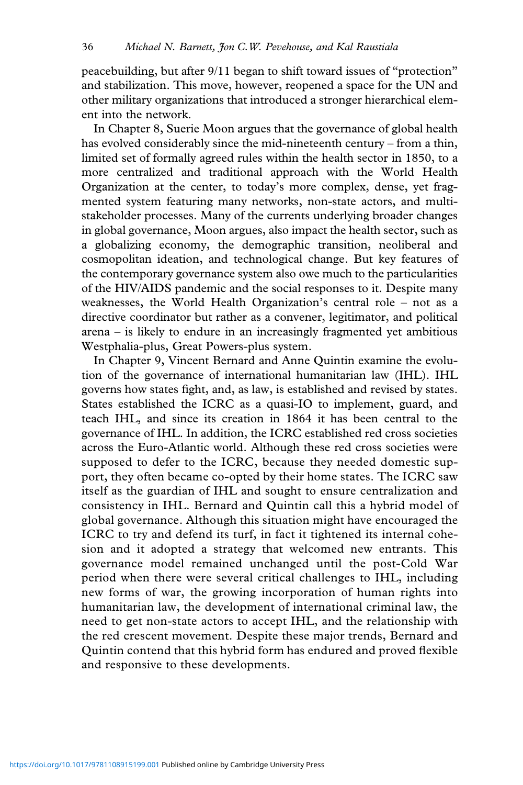peacebuilding, but after 9/11 began to shift toward issues of "protection" and stabilization. This move, however, reopened a space for the UN and other military organizations that introduced a stronger hierarchical element into the network.

In Chapter 8, Suerie Moon argues that the governance of global health has evolved considerably since the mid-nineteenth century – from a thin, limited set of formally agreed rules within the health sector in 1850, to a more centralized and traditional approach with the World Health Organization at the center, to today's more complex, dense, yet fragmented system featuring many networks, non-state actors, and multistakeholder processes. Many of the currents underlying broader changes in global governance, Moon argues, also impact the health sector, such as a globalizing economy, the demographic transition, neoliberal and cosmopolitan ideation, and technological change. But key features of the contemporary governance system also owe much to the particularities of the HIV/AIDS pandemic and the social responses to it. Despite many weaknesses, the World Health Organization's central role – not as a directive coordinator but rather as a convener, legitimator, and political arena – is likely to endure in an increasingly fragmented yet ambitious Westphalia-plus, Great Powers-plus system.

In Chapter 9, Vincent Bernard and Anne Quintin examine the evolution of the governance of international humanitarian law (IHL). IHL governs how states fight, and, as law, is established and revised by states. States established the ICRC as a quasi-IO to implement, guard, and teach IHL, and since its creation in 1864 it has been central to the governance of IHL. In addition, the ICRC established red cross societies across the Euro-Atlantic world. Although these red cross societies were supposed to defer to the ICRC, because they needed domestic support, they often became co-opted by their home states. The ICRC saw itself as the guardian of IHL and sought to ensure centralization and consistency in IHL. Bernard and Quintin call this a hybrid model of global governance. Although this situation might have encouraged the ICRC to try and defend its turf, in fact it tightened its internal cohesion and it adopted a strategy that welcomed new entrants. This governance model remained unchanged until the post-Cold War period when there were several critical challenges to IHL, including new forms of war, the growing incorporation of human rights into humanitarian law, the development of international criminal law, the need to get non-state actors to accept IHL, and the relationship with the red crescent movement. Despite these major trends, Bernard and Quintin contend that this hybrid form has endured and proved flexible and responsive to these developments.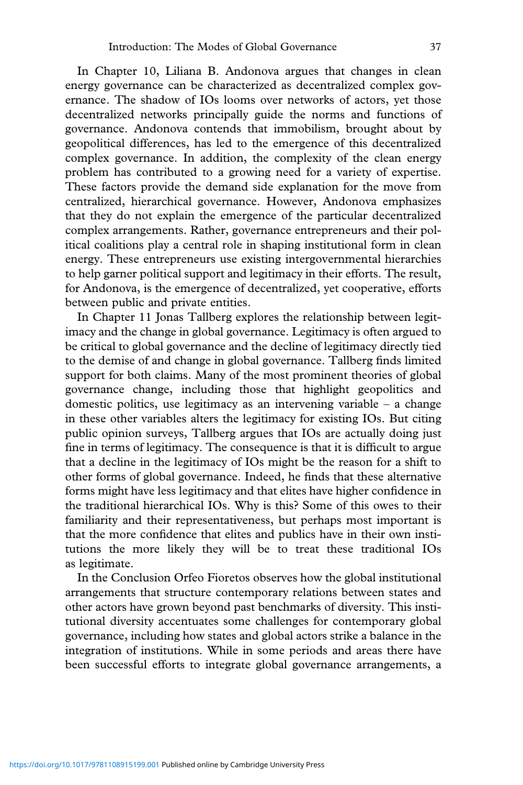In Chapter 10, Liliana B. Andonova argues that changes in clean energy governance can be characterized as decentralized complex governance. The shadow of IOs looms over networks of actors, yet those decentralized networks principally guide the norms and functions of governance. Andonova contends that immobilism, brought about by geopolitical differences, has led to the emergence of this decentralized complex governance. In addition, the complexity of the clean energy problem has contributed to a growing need for a variety of expertise. These factors provide the demand side explanation for the move from centralized, hierarchical governance. However, Andonova emphasizes that they do not explain the emergence of the particular decentralized complex arrangements. Rather, governance entrepreneurs and their political coalitions play a central role in shaping institutional form in clean energy. These entrepreneurs use existing intergovernmental hierarchies to help garner political support and legitimacy in their efforts. The result, for Andonova, is the emergence of decentralized, yet cooperative, efforts between public and private entities.

In Chapter 11 Jonas Tallberg explores the relationship between legitimacy and the change in global governance. Legitimacy is often argued to be critical to global governance and the decline of legitimacy directly tied to the demise of and change in global governance. Tallberg finds limited support for both claims. Many of the most prominent theories of global governance change, including those that highlight geopolitics and domestic politics, use legitimacy as an intervening variable  $-$  a change in these other variables alters the legitimacy for existing IOs. But citing public opinion surveys, Tallberg argues that IOs are actually doing just fine in terms of legitimacy. The consequence is that it is difficult to argue that a decline in the legitimacy of IOs might be the reason for a shift to other forms of global governance. Indeed, he finds that these alternative forms might have less legitimacy and that elites have higher confidence in the traditional hierarchical IOs. Why is this? Some of this owes to their familiarity and their representativeness, but perhaps most important is that the more confidence that elites and publics have in their own institutions the more likely they will be to treat these traditional IOs as legitimate.

In the Conclusion Orfeo Fioretos observes how the global institutional arrangements that structure contemporary relations between states and other actors have grown beyond past benchmarks of diversity. This institutional diversity accentuates some challenges for contemporary global governance, including how states and global actors strike a balance in the integration of institutions. While in some periods and areas there have been successful efforts to integrate global governance arrangements, a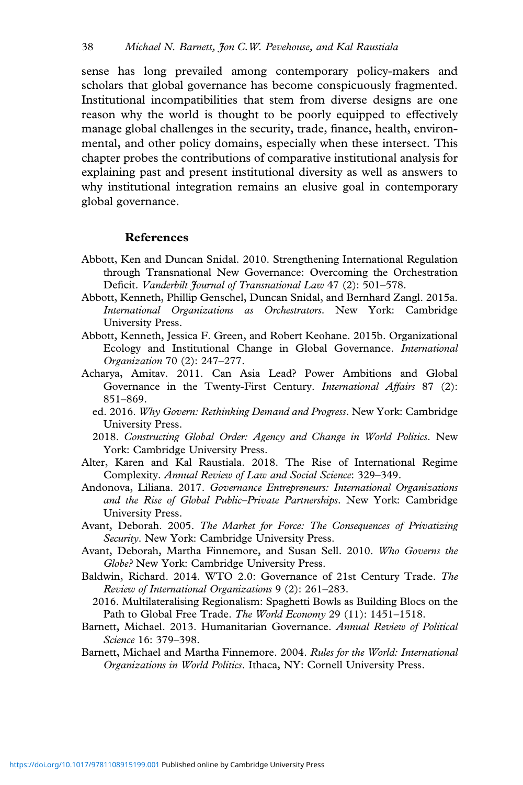sense has long prevailed among contemporary policy-makers and scholars that global governance has become conspicuously fragmented. Institutional incompatibilities that stem from diverse designs are one reason why the world is thought to be poorly equipped to effectively manage global challenges in the security, trade, finance, health, environmental, and other policy domains, especially when these intersect. This chapter probes the contributions of comparative institutional analysis for explaining past and present institutional diversity as well as answers to why institutional integration remains an elusive goal in contemporary global governance.

#### **References**

- Abbott, Ken and Duncan Snidal. 2010. Strengthening International Regulation through Transnational New Governance: Overcoming the Orchestration Deficit. *Vanderbilt Journal of Transnational Law* 47 (2): 501–578.
- Abbott, Kenneth, Phillip Genschel, Duncan Snidal, and Bernhard Zangl. 2015a. *International Organizations as Orchestrators*. New York: Cambridge University Press.
- Abbott, Kenneth, Jessica F. Green, and Robert Keohane. 2015b. Organizational Ecology and Institutional Change in Global Governance. *International Organization* 70 (2): 247–277.
- Acharya, Amitav. 2011. Can Asia Lead? Power Ambitions and Global Governance in the Twenty-First Century. *International Affairs* 87 (2): 851–869.
	- ed. 2016. *Why Govern: Rethinking Demand and Progress*. New York: Cambridge University Press.
	- 2018. *Constructing Global Order: Agency and Change in World Politics*. New York: Cambridge University Press.
- Alter, Karen and Kal Raustiala. 2018. The Rise of International Regime Complexity. *Annual Review of Law and Social Science*: 329–349.
- Andonova, Liliana. 2017. *Governance Entrepreneurs: International Organizations and the Rise of Global Public–Private Partnerships*. New York: Cambridge University Press.
- Avant, Deborah. 2005. *The Market for Force: The Consequences of Privatizing Security*. New York: Cambridge University Press.
- Avant, Deborah, Martha Finnemore, and Susan Sell. 2010. *Who Governs the Globe?* New York: Cambridge University Press.
- Baldwin, Richard. 2014. WTO 2.0: Governance of 21st Century Trade. *The Review of International Organizations* 9 (2): 261–283.
	- 2016. Multilateralising Regionalism: Spaghetti Bowls as Building Blocs on the Path to Global Free Trade. *The World Economy* 29 (11): 1451–1518.
- Barnett, Michael. 2013. Humanitarian Governance. *Annual Review of Political Science* 16: 379–398.
- Barnett, Michael and Martha Finnemore. 2004. *Rules for the World: International Organizations in World Politics*. Ithaca, NY: Cornell University Press.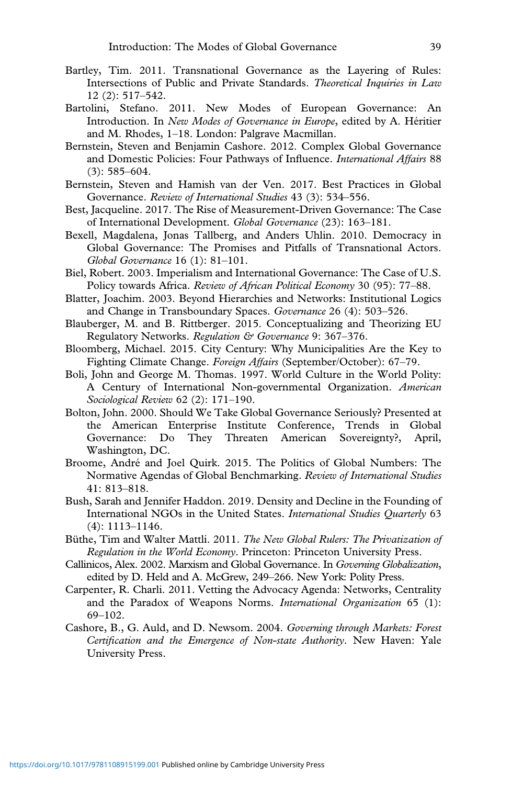- Bartley, Tim. 2011. Transnational Governance as the Layering of Rules: Intersections of Public and Private Standards. *Theoretical Inquiries in Law* 12 (2): 517–542.
- Bartolini, Stefano. 2011. New Modes of European Governance: An Introduction. In *New Modes of Governance in Europe*, edited by A. Héritier and M. Rhodes, 1–18. London: Palgrave Macmillan.
- Bernstein, Steven and Benjamin Cashore. 2012. Complex Global Governance and Domestic Policies: Four Pathways of Influence. *International Affairs* 88 (3): 585–604.
- Bernstein, Steven and Hamish van der Ven. 2017. Best Practices in Global Governance. *Review of International Studies* 43 (3): 534–556.
- Best, Jacqueline. 2017. The Rise of Measurement-Driven Governance: The Case of International Development. *Global Governance* (23): 163–181.
- Bexell, Magdalena, Jonas Tallberg, and Anders Uhlin. 2010. Democracy in Global Governance: The Promises and Pitfalls of Transnational Actors. *Global Governance* 16 (1): 81–101.
- Biel, Robert. 2003. Imperialism and International Governance: The Case of U.S. Policy towards Africa. *Review of African Political Economy* 30 (95): 77–88.
- Blatter, Joachim. 2003. Beyond Hierarchies and Networks: Institutional Logics and Change in Transboundary Spaces. *Governance* 26 (4): 503–526.
- Blauberger, M. and B. Rittberger. 2015. Conceptualizing and Theorizing EU Regulatory Networks. *Regulation & Governance* 9: 367–376.
- Bloomberg, Michael. 2015. City Century: Why Municipalities Are the Key to Fighting Climate Change. *Foreign Affairs* (September/October): 67–79.
- Boli, John and George M. Thomas. 1997. World Culture in the World Polity: A Century of International Non-governmental Organization. *American Sociological Review* 62 (2): 171–190.
- Bolton, John. 2000. Should We Take Global Governance Seriously? Presented at the American Enterprise Institute Conference, Trends in Global Governance: Do They Threaten American Sovereignty?, April, Washington, DC.
- Broome, André and Joel Quirk. 2015. The Politics of Global Numbers: The Normative Agendas of Global Benchmarking. *Review of International Studies* 41: 813–818.
- Bush, Sarah and Jennifer Haddon. 2019. Density and Decline in the Founding of International NGOs in the United States. *International Studies Quarterly* 63 (4): 1113–1146.
- Büthe, Tim and Walter Mattli. 2011. *The New Global Rulers: The Privatization of Regulation in the World Economy*. Princeton: Princeton University Press.
- Callinicos, Alex. 2002. Marxism and Global Governance. In *Governing Globalization*, edited by D. Held and A. McGrew, 249–266. New York: Polity Press.
- Carpenter, R. Charli. 2011. Vetting the Advocacy Agenda: Networks, Centrality and the Paradox of Weapons Norms. *International Organization* 65 (1): 69–102.
- Cashore, B., G. Auld, and D. Newsom. 2004. *Governing through Markets: Forest Certification and the Emergence of Non-state Authority*. New Haven: Yale University Press.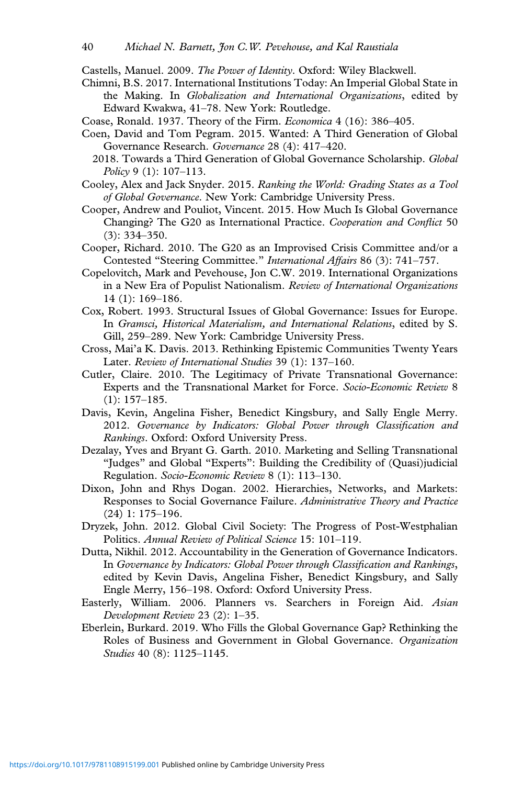Castells, Manuel. 2009. *The Power of Identity*. Oxford: Wiley Blackwell.

- Chimni, B.S. 2017. International Institutions Today: An Imperial Global State in the Making. In *Globalization and International Organizations*, edited by Edward Kwakwa, 41–78. New York: Routledge.
- Coase, Ronald. 1937. Theory of the Firm. *Economica* 4 (16): 386–405.
- Coen, David and Tom Pegram. 2015. Wanted: A Third Generation of Global Governance Research. *Governance* 28 (4): 417–420.
	- 2018. Towards a Third Generation of Global Governance Scholarship. *Global Policy* 9 (1): 107–113.
- Cooley, Alex and Jack Snyder. 2015. *Ranking the World: Grading States as a Tool of Global Governance*. New York: Cambridge University Press.
- Cooper, Andrew and Pouliot, Vincent. 2015. How Much Is Global Governance Changing? The G20 as International Practice. *Cooperation and Conflict* 50 (3): 334–350.
- Cooper, Richard. 2010. The G20 as an Improvised Crisis Committee and/or a Contested "Steering Committee." *International Affairs* 86 (3): 741–757.
- Copelovitch, Mark and Pevehouse, Jon C.W. 2019. International Organizations in a New Era of Populist Nationalism. *Review of International Organizations* 14 (1): 169–186.
- Cox, Robert. 1993. Structural Issues of Global Governance: Issues for Europe. In *Gramsci, Historical Materialism, and International Relations*, edited by S. Gill, 259–289. New York: Cambridge University Press.
- Cross, Mai'a K. Davis. 2013. Rethinking Epistemic Communities Twenty Years Later. *Review of International Studies* 39 (1): 137–160.
- Cutler, Claire. 2010. The Legitimacy of Private Transnational Governance: Experts and the Transnational Market for Force. *Socio-Economic Review* 8 (1): 157–185.
- Davis, Kevin, Angelina Fisher, Benedict Kingsbury, and Sally Engle Merry. 2012. *Governance by Indicators: Global Power through Classification and Rankings*. Oxford: Oxford University Press.
- Dezalay, Yves and Bryant G. Garth. 2010. Marketing and Selling Transnational "Judges" and Global "Experts": Building the Credibility of (Quasi)judicial Regulation. *Socio-Economic Review* 8 (1): 113–130.
- Dixon, John and Rhys Dogan. 2002. Hierarchies, Networks, and Markets: Responses to Social Governance Failure. *Administrative Theory and Practice* (24) 1: 175–196.
- Dryzek, John. 2012. Global Civil Society: The Progress of Post-Westphalian Politics. *Annual Review of Political Science* 15: 101–119.
- Dutta, Nikhil. 2012. Accountability in the Generation of Governance Indicators. In *Governance by Indicators: Global Power through Classification and Rankings*, edited by Kevin Davis, Angelina Fisher, Benedict Kingsbury, and Sally Engle Merry, 156–198. Oxford: Oxford University Press.
- Easterly, William. 2006. Planners vs. Searchers in Foreign Aid. *Asian Development Review* 23 (2): 1–35.
- Eberlein, Burkard. 2019. Who Fills the Global Governance Gap? Rethinking the Roles of Business and Government in Global Governance. *Organization Studies* 40 (8): 1125–1145.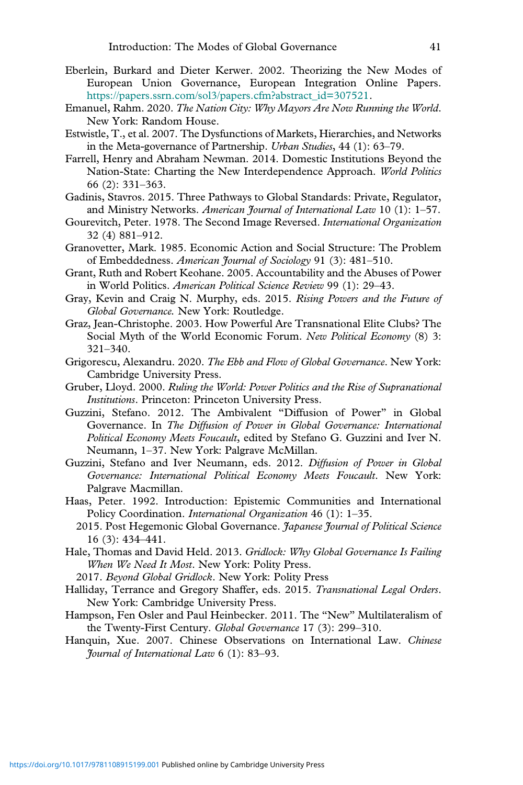- Eberlein, Burkard and Dieter Kerwer. 2002. Theorizing the New Modes of European Union Governance, European Integration Online Papers. [https://papers.ssrn.com/sol3/papers.cfm?abstract\\_id=307521](https://papers.ssrn.com/sol3/papers.cfm?abstract_id=307521).
- Emanuel, Rahm. 2020. *The Nation City: Why Mayors Are Now Running the World*. New York: Random House.
- Estwistle, T., et al. 2007. The Dysfunctions of Markets, Hierarchies, and Networks in the Meta-governance of Partnership. *Urban Studies*, 44 (1): 63–79.
- Farrell, Henry and Abraham Newman. 2014. Domestic Institutions Beyond the Nation-State: Charting the New Interdependence Approach. *World Politics* 66 (2): 331–363.
- Gadinis, Stavros. 2015. Three Pathways to Global Standards: Private, Regulator, and Ministry Networks. *American Journal of International Law* 10 (1): 1–57.
- Gourevitch, Peter. 1978. The Second Image Reversed. *International Organization* 32 (4) 881–912.
- Granovetter, Mark. 1985. Economic Action and Social Structure: The Problem of Embeddedness. *American Journal of Sociology* 91 (3): 481–510.
- Grant, Ruth and Robert Keohane. 2005. Accountability and the Abuses of Power in World Politics. *American Political Science Review* 99 (1): 29–43.
- Gray, Kevin and Craig N. Murphy, eds. 2015. *Rising Powers and the Future of Global Governance.* New York: Routledge.
- Graz, Jean-Christophe. 2003. How Powerful Are Transnational Elite Clubs? The Social Myth of the World Economic Forum. *New Political Economy* (8) 3: 321–340.
- Grigorescu, Alexandru. 2020. *The Ebb and Flow of Global Governance*. New York: Cambridge University Press.
- Gruber, Lloyd. 2000. *Ruling the World: Power Politics and the Rise of Supranational Institutions*. Princeton: Princeton University Press.
- Guzzini, Stefano. 2012. The Ambivalent "Diffusion of Power" in Global Governance. In *The Diffusion of Power in Global Governance: International Political Economy Meets Foucault*, edited by Stefano G. Guzzini and Iver N. Neumann, 1–37. New York: Palgrave McMillan.
- Guzzini, Stefano and Iver Neumann, eds. 2012. *Diffusion of Power in Global Governance: International Political Economy Meets Foucault*. New York: Palgrave Macmillan.
- Haas, Peter. 1992. Introduction: Epistemic Communities and International Policy Coordination. *International Organization* 46 (1): 1–35.
- 2015. Post Hegemonic Global Governance. *Japanese Journal of Political Science* 16 (3): 434–441.
- Hale, Thomas and David Held. 2013. *Gridlock: Why Global Governance Is Failing When We Need It Most*. New York: Polity Press.
	- 2017. *Beyond Global Gridlock*. New York: Polity Press
- Halliday, Terrance and Gregory Shaffer, eds. 2015. *Transnational Legal Orders*. New York: Cambridge University Press.
- Hampson, Fen Osler and Paul Heinbecker. 2011. The "New" Multilateralism of the Twenty-First Century. *Global Governance* 17 (3): 299–310.
- Hanquin, Xue. 2007. Chinese Observations on International Law. *Chinese Journal of International Law* 6 (1): 83–93.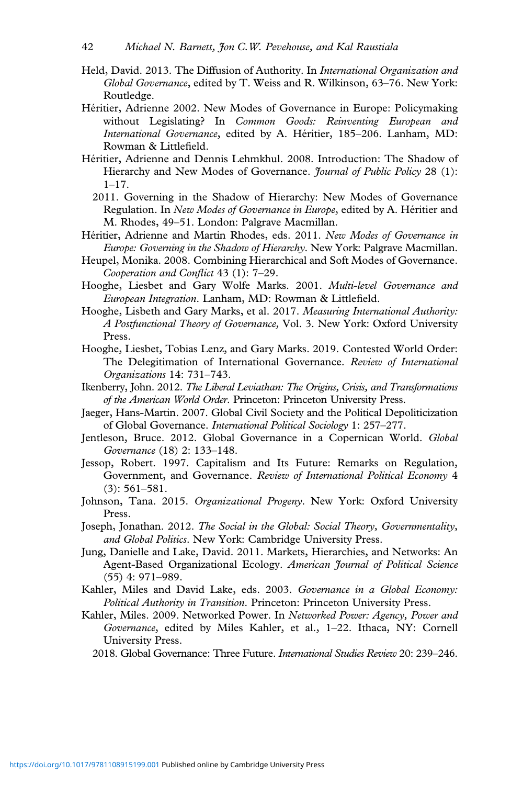- Held, David. 2013. The Diffusion of Authority. In *International Organization and Global Governance*, edited by T. Weiss and R. Wilkinson, 63–76. New York: Routledge.
- Héritier, Adrienne 2002. New Modes of Governance in Europe: Policymaking without Legislating? In *Common Goods: Reinventing European and International Governance*, edited by A. Héritier, 185–206. Lanham, MD: Rowman & Littlefield.
- Héritier, Adrienne and Dennis Lehmkhul. 2008. Introduction: The Shadow of Hierarchy and New Modes of Governance. *Journal of Public Policy* 28 (1): 1–17.
	- 2011. Governing in the Shadow of Hierarchy: New Modes of Governance Regulation. In *New Modes of Governance in Europe*, edited by A. Héritier and M. Rhodes, 49–51. London: Palgrave Macmillan.
- Héritier, Adrienne and Martin Rhodes, eds. 2011. *New Modes of Governance in Europe: Governing in the Shadow of Hierarchy*. New York: Palgrave Macmillan.
- Heupel, Monika. 2008. Combining Hierarchical and Soft Modes of Governance. *Cooperation and Conflict* 43 (1): 7–29.
- Hooghe, Liesbet and Gary Wolfe Marks. 2001. *Multi-level Governance and European Integration*. Lanham, MD: Rowman & Littlefield.
- Hooghe, Lisbeth and Gary Marks, et al. 2017. *Measuring International Authority: A Postfunctional Theory of Governance,* Vol. 3. New York: Oxford University Press.
- Hooghe, Liesbet, Tobias Lenz, and Gary Marks. 2019. Contested World Order: The Delegitimation of International Governance. *Review of International Organizations* 14: 731–743.
- Ikenberry, John. 2012. *The Liberal Leviathan: The Origins, Crisis, and Transformations of the American World Order*. Princeton: Princeton University Press.
- Jaeger, Hans-Martin. 2007. Global Civil Society and the Political Depoliticization of Global Governance. *International Political Sociology* 1: 257–277.
- Jentleson, Bruce. 2012. Global Governance in a Copernican World. *Global Governance* (18) 2: 133–148.
- Jessop, Robert. 1997. Capitalism and Its Future: Remarks on Regulation, Government, and Governance. *Review of International Political Economy* 4 (3): 561–581.
- Johnson, Tana. 2015. *Organizational Progeny*. New York: Oxford University Press.
- Joseph, Jonathan. 2012. *The Social in the Global: Social Theory, Governmentality, and Global Politics*. New York: Cambridge University Press.
- Jung, Danielle and Lake, David. 2011. Markets, Hierarchies, and Networks: An Agent-Based Organizational Ecology. *American Journal of Political Science* (55) 4: 971–989.
- Kahler, Miles and David Lake, eds. 2003. *Governance in a Global Economy: Political Authority in Transition*. Princeton: Princeton University Press.
- Kahler, Miles. 2009. Networked Power. In *Networked Power: Agency, Power and Governance*, edited by Miles Kahler, et al., 1–22. Ithaca, NY: Cornell University Press.

2018. Global Governance: Three Future. *International Studies Review* 20: 239–246.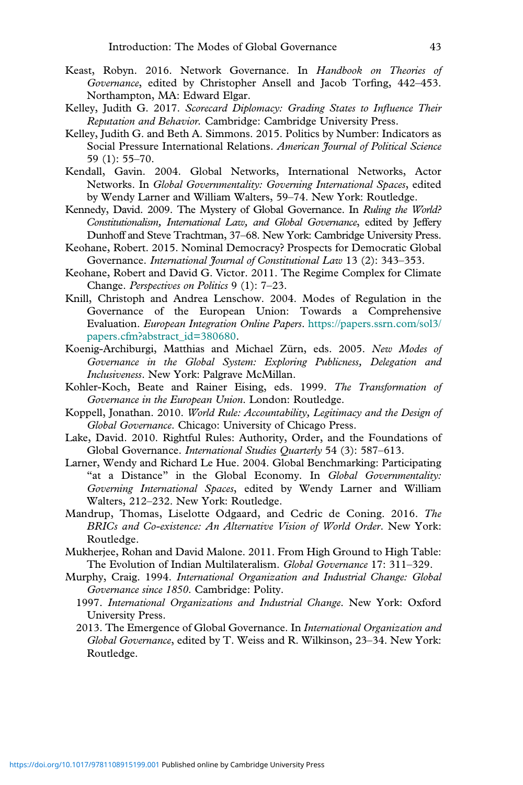- Keast, Robyn. 2016. Network Governance. In *Handbook on Theories of Governance*, edited by Christopher Ansell and Jacob Torfing, 442–453. Northampton, MA: Edward Elgar.
- Kelley, Judith G. 2017. *Scorecard Diplomacy: Grading States to Influence Their Reputation and Behavior.* Cambridge: Cambridge University Press.
- Kelley, Judith G. and Beth A. Simmons. 2015. Politics by Number: Indicators as Social Pressure International Relations. *American Journal of Political Science* 59 (1): 55–70.
- Kendall, Gavin. 2004. Global Networks, International Networks, Actor Networks. In *Global Governmentality: Governing International Spaces*, edited by Wendy Larner and William Walters, 59–74. New York: Routledge.
- Kennedy, David. 2009. The Mystery of Global Governance. In *Ruling the World? Constitutionalism, International Law, and Global Governance*, edited by Jeffery Dunhoff and Steve Trachtman, 37–68. New York: Cambridge University Press.
- Keohane, Robert. 2015. Nominal Democracy? Prospects for Democratic Global Governance. *International Journal of Constitutional Law* 13 (2): 343–353.
- Keohane, Robert and David G. Victor. 2011. The Regime Complex for Climate Change. *Perspectives on Politics* 9 (1): 7–23.
- Knill, Christoph and Andrea Lenschow. 2004. Modes of Regulation in the Governance of the European Union: Towards a Comprehensive Evaluation. *European Integration Online Papers*. [https://papers.ssrn.com/sol3/](https://papers.ssrn.com/sol3/papers.cfm?abstract_id=380680) [papers.cfm?abstract\\_id=380680.](https://papers.ssrn.com/sol3/papers.cfm?abstract_id=380680)
- Koenig-Archiburgi, Matthias and Michael Zürn, eds. 2005. *New Modes of Governance in the Global System: Exploring Publicness, Delegation and Inclusiveness*. New York: Palgrave McMillan.
- Kohler-Koch, Beate and Rainer Eising, eds. 1999. *The Transformation of Governance in the European Union*. London: Routledge.
- Koppell, Jonathan. 2010. *World Rule: Accountability, Legitimacy and the Design of Global Governance*. Chicago: University of Chicago Press.
- Lake, David. 2010. Rightful Rules: Authority, Order, and the Foundations of Global Governance. *International Studies Quarterly* 54 (3): 587–613.
- Larner, Wendy and Richard Le Hue. 2004. Global Benchmarking: Participating "at a Distance" in the Global Economy. In *Global Governmentality: Governing International Spaces*, edited by Wendy Larner and William Walters, 212–232. New York: Routledge.
- Mandrup, Thomas, Liselotte Odgaard, and Cedric de Coning. 2016. *The BRICs and Co-existence: An Alternative Vision of World Order*. New York: Routledge.
- Mukherjee, Rohan and David Malone. 2011. From High Ground to High Table: The Evolution of Indian Multilateralism. *Global Governance* 17: 311–329.
- Murphy, Craig. 1994. *International Organization and Industrial Change: Global Governance since 1850*. Cambridge: Polity.
	- 1997. *International Organizations and Industrial Change*. New York: Oxford University Press.
	- 2013. The Emergence of Global Governance. In *International Organization and Global Governance*, edited by T. Weiss and R. Wilkinson, 23–34. New York: Routledge.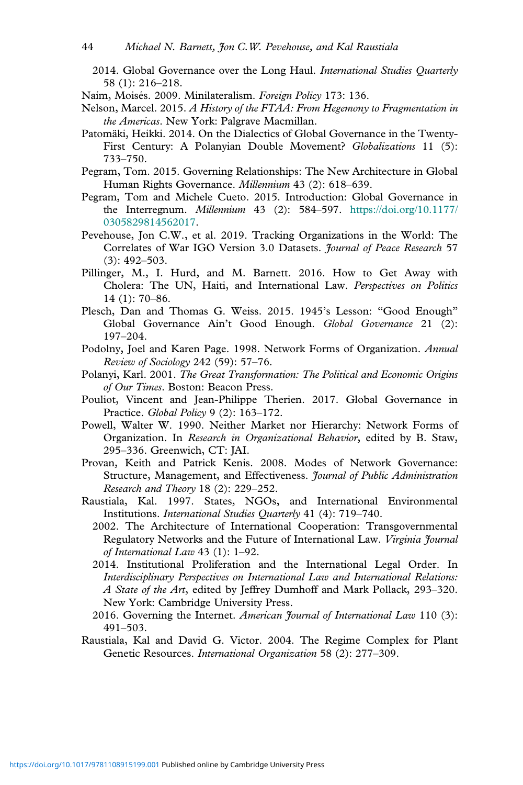- 2014. Global Governance over the Long Haul. *International Studies Quarterly* 58 (1): 216–218.
- Naím, Moisés. 2009. Minilateralism. *Foreign Policy* 173: 136.
- Nelson, Marcel. 2015. *A History of the FTAA: From Hegemony to Fragmentation in the Americas*. New York: Palgrave Macmillan.
- Patomäki, Heikki. 2014. On the Dialectics of Global Governance in the Twenty-First Century: A Polanyian Double Movement? *Globalizations* 11 (5): 733–750.
- Pegram, Tom. 2015. Governing Relationships: The New Architecture in Global Human Rights Governance. *Millennium* 43 (2): 618–639.
- Pegram, Tom and Michele Cueto. 2015. Introduction: Global Governance in the Interregnum. *Millennium* 43 (2): 584–597. [https://doi.org/10.1177/](https://doi.org/10.1177/0305829814562017) [0305829814562017.](https://doi.org/10.1177/0305829814562017)
- Pevehouse, Jon C.W., et al. 2019. Tracking Organizations in the World: The Correlates of War IGO Version 3.0 Datasets. *Journal of Peace Research* 57 (3): 492–503.
- Pillinger, M., I. Hurd, and M. Barnett. 2016. How to Get Away with Cholera: The UN, Haiti, and International Law. *Perspectives on Politics* 14 (1): 70–86.
- Plesch, Dan and Thomas G. Weiss. 2015. 1945's Lesson: "Good Enough" Global Governance Ain't Good Enough. *Global Governance* 21 (2): 197–204.
- Podolny, Joel and Karen Page. 1998. Network Forms of Organization. *Annual Review of Sociology* 242 (59): 57–76.
- Polanyi, Karl. 2001. *The Great Transformation: The Political and Economic Origins of Our Times*. Boston: Beacon Press.
- Pouliot, Vincent and Jean-Philippe Therien. 2017. Global Governance in Practice. *Global Policy* 9 (2): 163–172.
- Powell, Walter W. 1990. Neither Market nor Hierarchy: Network Forms of Organization. In *Research in Organizational Behavior*, edited by B. Staw, 295–336. Greenwich, CT: JAI.
- Provan, Keith and Patrick Kenis. 2008. Modes of Network Governance: Structure, Management, and Effectiveness. *Journal of Public Administration Research and Theory* 18 (2): 229–252.
- Raustiala, Kal. 1997. States, NGOs, and International Environmental Institutions. *International Studies Quarterly* 41 (4): 719–740.
	- 2002. The Architecture of International Cooperation: Transgovernmental Regulatory Networks and the Future of International Law. *Virginia Journal of International Law* 43 (1): 1–92.
	- 2014. Institutional Proliferation and the International Legal Order. In *Interdisciplinary Perspectives on International Law and International Relations: A State of the Art*, edited by Jeffrey Dumhoff and Mark Pollack, 293–320. New York: Cambridge University Press.
	- 2016. Governing the Internet. *American Journal of International Law* 110 (3): 491–503.
- Raustiala, Kal and David G. Victor. 2004. The Regime Complex for Plant Genetic Resources. *International Organization* 58 (2): 277–309.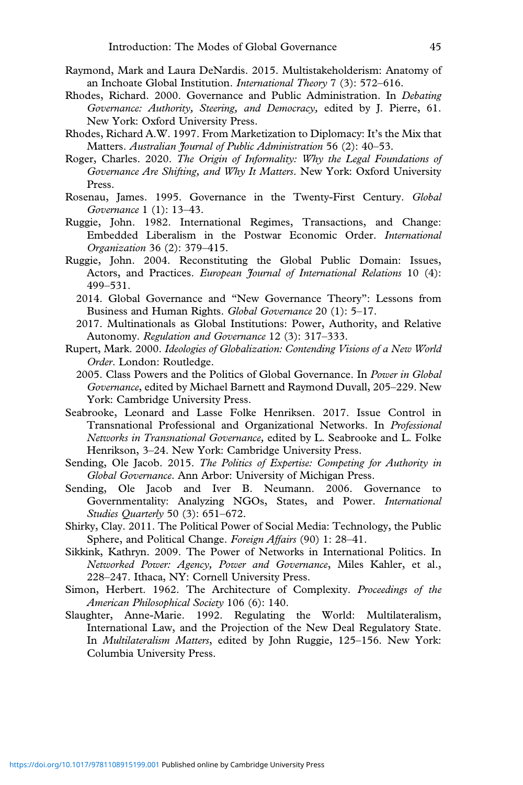- Raymond, Mark and Laura DeNardis. 2015. Multistakeholderism: Anatomy of an Inchoate Global Institution. *International Theory* 7 (3): 572–616.
- Rhodes, Richard. 2000. Governance and Public Administration. In *Debating Governance: Authority, Steering, and Democracy,* edited by J. Pierre, 61. New York: Oxford University Press.
- Rhodes, Richard A.W. 1997. From Marketization to Diplomacy: It's the Mix that Matters. *Australian Journal of Public Administration* 56 (2): 40–53.
- Roger, Charles. 2020. *The Origin of Informality: Why the Legal Foundations of Governance Are Shifting, and Why It Matters*. New York: Oxford University Press.
- Rosenau, James. 1995. Governance in the Twenty-First Century. *Global Governance* 1 (1): 13–43.
- Ruggie, John. 1982. International Regimes, Transactions, and Change: Embedded Liberalism in the Postwar Economic Order. *International Organization* 36 (2): 379–415.
- Ruggie, John. 2004. Reconstituting the Global Public Domain: Issues, Actors, and Practices. *European Journal of International Relations* 10 (4): 499–531.
	- 2014. Global Governance and "New Governance Theory": Lessons from Business and Human Rights. *Global Governance* 20 (1): 5–17.
	- 2017. Multinationals as Global Institutions: Power, Authority, and Relative Autonomy. *Regulation and Governance* 12 (3): 317–333.
- Rupert, Mark. 2000. *Ideologies of Globalization: Contending Visions of a New World Order*. London: Routledge.
	- 2005. Class Powers and the Politics of Global Governance. In *Power in Global Governance*, edited by Michael Barnett and Raymond Duvall, 205–229. New York: Cambridge University Press.
- Seabrooke, Leonard and Lasse Folke Henriksen. 2017. Issue Control in Transnational Professional and Organizational Networks. In *Professional Networks in Transnational Governance,* edited by L. Seabrooke and L. Folke Henrikson, 3–24. New York: Cambridge University Press.
- Sending, Ole Jacob. 2015. *The Politics of Expertise: Competing for Authority in Global Governance*. Ann Arbor: University of Michigan Press.
- Sending, Ole Jacob and Iver B. Neumann. 2006. Governance to Governmentality: Analyzing NGOs, States, and Power. *International Studies Quarterly* 50 (3): 651–672.
- Shirky, Clay. 2011. The Political Power of Social Media: Technology, the Public Sphere, and Political Change. *Foreign Affairs* (90) 1: 28–41.
- Sikkink, Kathryn. 2009. The Power of Networks in International Politics. In *Networked Power: Agency, Power and Governance*, Miles Kahler, et al., 228–247. Ithaca, NY: Cornell University Press.
- Simon, Herbert. 1962. The Architecture of Complexity. *Proceedings of the American Philosophical Society* 106 (6): 140.
- Slaughter, Anne-Marie. 1992. Regulating the World: Multilateralism, International Law, and the Projection of the New Deal Regulatory State. In *Multilateralism Matters*, edited by John Ruggie, 125–156. New York: Columbia University Press.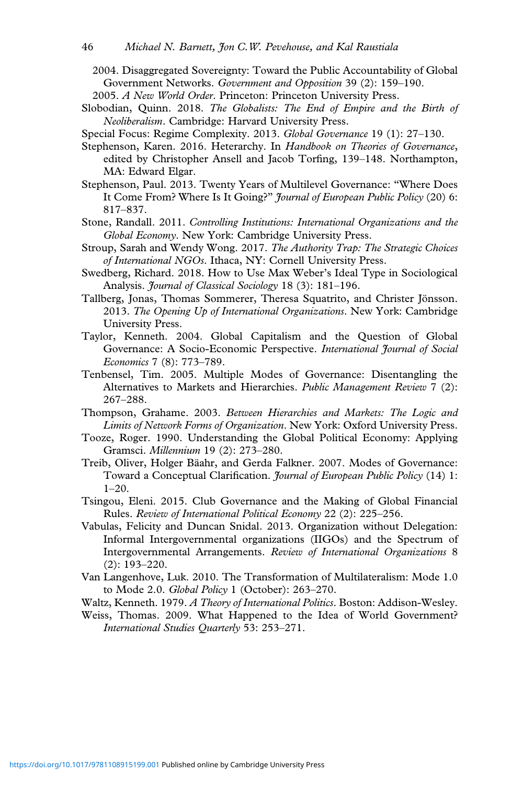2004. Disaggregated Sovereignty: Toward the Public Accountability of Global Government Networks. *Government and Opposition* 39 (2): 159–190.

- Slobodian, Quinn. 2018. *The Globalists: The End of Empire and the Birth of Neoliberalism*. Cambridge: Harvard University Press.
- Special Focus: Regime Complexity. 2013. *Global Governance* 19 (1): 27–130.
- Stephenson, Karen. 2016. Heterarchy. In *Handbook on Theories of Governance*, edited by Christopher Ansell and Jacob Torfing, 139–148. Northampton, MA: Edward Elgar.
- Stephenson, Paul. 2013. Twenty Years of Multilevel Governance: "Where Does It Come From? Where Is It Going?" *Journal of European Public Policy* (20) 6: 817–837.
- Stone, Randall. 2011. *Controlling Institutions: International Organizations and the Global Economy*. New York: Cambridge University Press.
- Stroup, Sarah and Wendy Wong. 2017. *The Authority Trap: The Strategic Choices of International NGOs*. Ithaca, NY: Cornell University Press.
- Swedberg, Richard. 2018. How to Use Max Weber's Ideal Type in Sociological Analysis. *Journal of Classical Sociology* 18 (3): 181–196.
- Tallberg, Jonas, Thomas Sommerer, Theresa Squatrito, and Christer Jönsson. 2013. *The Opening Up of International Organizations*. New York: Cambridge University Press.
- Taylor, Kenneth. 2004. Global Capitalism and the Question of Global Governance: A Socio-Economic Perspective. *International Journal of Social Economics* 7 (8): 773–789.
- Tenbensel, Tim. 2005. Multiple Modes of Governance: Disentangling the Alternatives to Markets and Hierarchies. *Public Management Review* 7 (2): 267–288.
- Thompson, Grahame. 2003. *Between Hierarchies and Markets: The Logic and Limits of Network Forms of Organization*. New York: Oxford University Press.
- Tooze, Roger. 1990. Understanding the Global Political Economy: Applying Gramsci. *Millennium* 19 (2): 273–280.
- Treib, Oliver, Holger Bäahr, and Gerda Falkner. 2007. Modes of Governance: Toward a Conceptual Clarification. *Journal of European Public Policy* (14) 1: 1–20.
- Tsingou, Eleni. 2015. Club Governance and the Making of Global Financial Rules. *Review of International Political Economy* 22 (2): 225–256.
- Vabulas, Felicity and Duncan Snidal. 2013. Organization without Delegation: Informal Intergovernmental organizations (IIGOs) and the Spectrum of Intergovernmental Arrangements. *Review of International Organizations* 8 (2): 193–220.
- Van Langenhove, Luk. 2010. The Transformation of Multilateralism: Mode 1.0 to Mode 2.0. *Global Policy* 1 (October): 263–270.
- Waltz, Kenneth. 1979. *A Theory of International Politics*. Boston: Addison-Wesley.
- Weiss, Thomas. 2009. What Happened to the Idea of World Government? *International Studies Quarterly* 53: 253–271.

<sup>2005.</sup> *A New World Order*. Princeton: Princeton University Press.